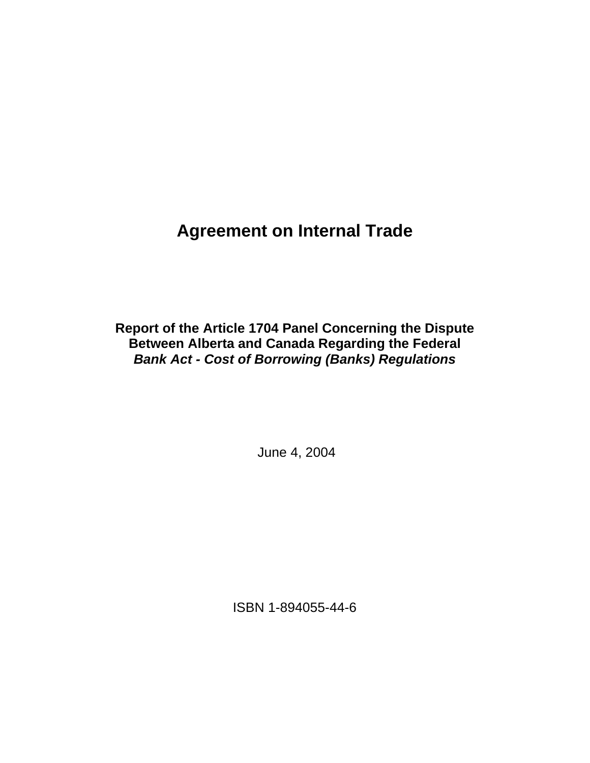# **Agreement on Internal Trade**

**Report of the Article 1704 Panel Concerning the Dispute Between Alberta and Canada Regarding the Federal**  *Bank Act - Cost of Borrowing (Banks) Regulations*

June 4, 2004

ISBN 1-894055-44-6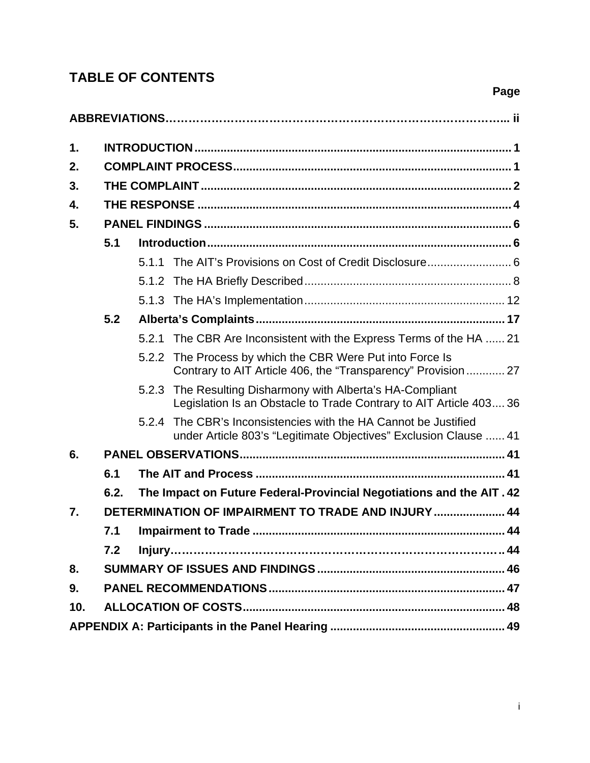## **TABLE OF CONTENTS**

| 1.  |      |       |                                                                                                                                  |  |  |  |
|-----|------|-------|----------------------------------------------------------------------------------------------------------------------------------|--|--|--|
| 2.  |      |       |                                                                                                                                  |  |  |  |
| 3.  |      |       |                                                                                                                                  |  |  |  |
| 4.  |      |       |                                                                                                                                  |  |  |  |
| 5.  |      |       |                                                                                                                                  |  |  |  |
|     | 5.1  |       |                                                                                                                                  |  |  |  |
|     |      |       | 5.1.1 The AIT's Provisions on Cost of Credit Disclosure 6                                                                        |  |  |  |
|     |      |       |                                                                                                                                  |  |  |  |
|     |      |       |                                                                                                                                  |  |  |  |
|     | 5.2  |       |                                                                                                                                  |  |  |  |
|     |      |       | 5.2.1 The CBR Are Inconsistent with the Express Terms of the HA  21                                                              |  |  |  |
|     |      |       | 5.2.2 The Process by which the CBR Were Put into Force Is<br>Contrary to AIT Article 406, the "Transparency" Provision  27       |  |  |  |
|     |      |       | 5.2.3 The Resulting Disharmony with Alberta's HA-Compliant<br>Legislation Is an Obstacle to Trade Contrary to AIT Article 403 36 |  |  |  |
|     |      | 5.2.4 | The CBR's Inconsistencies with the HA Cannot be Justified<br>under Article 803's "Legitimate Objectives" Exclusion Clause  41    |  |  |  |
| 6.  |      |       |                                                                                                                                  |  |  |  |
|     | 6.1  |       |                                                                                                                                  |  |  |  |
|     | 6.2. |       | The Impact on Future Federal-Provincial Negotiations and the AIT. 42                                                             |  |  |  |
| 7.  |      |       | DETERMINATION OF IMPAIRMENT TO TRADE AND INJURY  44                                                                              |  |  |  |
|     | 7.1  |       |                                                                                                                                  |  |  |  |
|     | 7.2  |       |                                                                                                                                  |  |  |  |
| 8.  |      |       |                                                                                                                                  |  |  |  |
| 9.  |      |       |                                                                                                                                  |  |  |  |
| 10. |      |       |                                                                                                                                  |  |  |  |
|     |      |       |                                                                                                                                  |  |  |  |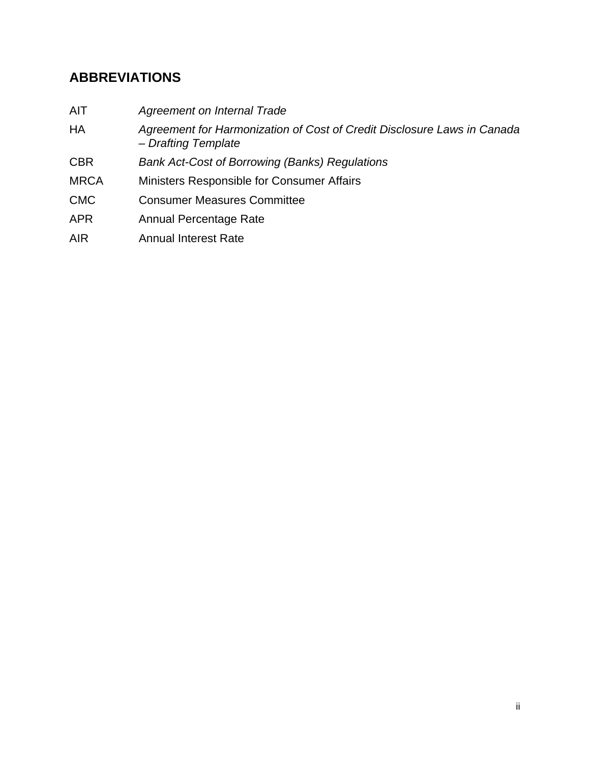## **ABBREVIATIONS**

| <b>AIT</b>  | Agreement on Internal Trade                                                                    |
|-------------|------------------------------------------------------------------------------------------------|
| HA          | Agreement for Harmonization of Cost of Credit Disclosure Laws in Canada<br>- Drafting Template |
| <b>CBR</b>  | <b>Bank Act-Cost of Borrowing (Banks) Regulations</b>                                          |
| <b>MRCA</b> | Ministers Responsible for Consumer Affairs                                                     |
| <b>CMC</b>  | <b>Consumer Measures Committee</b>                                                             |
| <b>APR</b>  | Annual Percentage Rate                                                                         |
| <b>AIR</b>  | <b>Annual Interest Rate</b>                                                                    |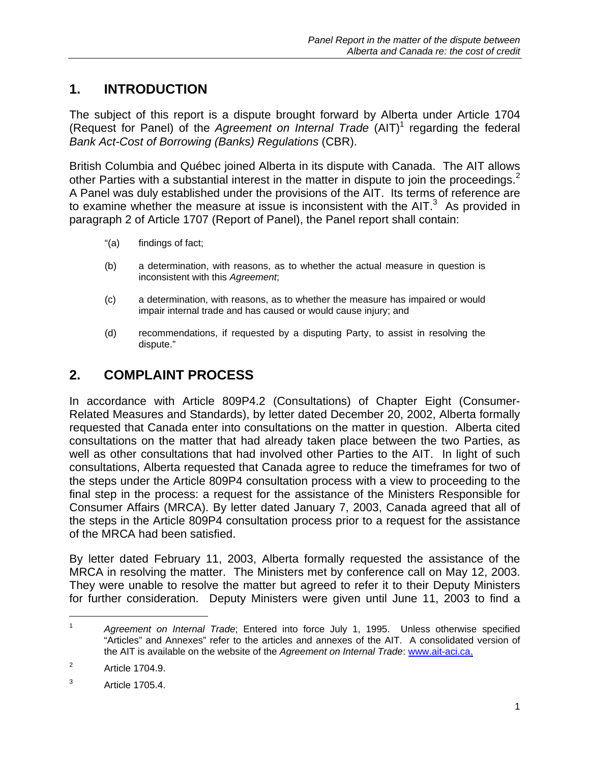## **1. INTRODUCTION**

The subject of this report is a dispute brought forward by Alberta under Article 1704 (Request for Panel) of the *Agreement on Internal Trade* (AIT)<sup>1</sup> regarding the federal *Bank Act-Cost of Borrowing (Banks) Regulations* (CBR).

British Columbia and Québec joined Alberta in its dispute with Canada. The AIT allows other Parties with a substantial interest in the matter in dispute to join the proceedings.<sup>2</sup> A Panel was duly established under the provisions of the AIT. Its terms of reference are to examine whether the measure at issue is inconsistent with the AIT. $3$  As provided in paragraph 2 of Article 1707 (Report of Panel), the Panel report shall contain:

- "(a) findings of fact;
- (b) a determination, with reasons, as to whether the actual measure in question is inconsistent with this *Agreement*;
- (c) a determination, with reasons, as to whether the measure has impaired or would impair internal trade and has caused or would cause injury; and
- (d) recommendations, if requested by a disputing Party, to assist in resolving the dispute."

### **2. COMPLAINT PROCESS**

In accordance with Article 809P4.2 (Consultations) of Chapter Eight (Consumer-Related Measures and Standards), by letter dated December 20, 2002, Alberta formally requested that Canada enter into consultations on the matter in question. Alberta cited consultations on the matter that had already taken place between the two Parties, as well as other consultations that had involved other Parties to the AIT. In light of such consultations, Alberta requested that Canada agree to reduce the timeframes for two of the steps under the Article 809P4 consultation process with a view to proceeding to the final step in the process: a request for the assistance of the Ministers Responsible for Consumer Affairs (MRCA). By letter dated January 7, 2003, Canada agreed that all of the steps in the Article 809P4 consultation process prior to a request for the assistance of the MRCA had been satisfied.

By letter dated February 11, 2003, Alberta formally requested the assistance of the MRCA in resolving the matter. The Ministers met by conference call on May 12, 2003. They were unable to resolve the matter but agreed to refer it to their Deputy Ministers for further consideration. Deputy Ministers were given until June 11, 2003 to find a

<sup>1</sup> *Agreement on Internal Trade*; Entered into force July 1, 1995. Unless otherwise specified "Articles" and Annexes" refer to the articles and annexes of the AIT. A consolidated version of the AIT is available on the website of the *Agreement on Internal Trade*: www.ait-aci.ca.

<sup>2</sup> Article 1704.9.

<sup>3</sup> Article 1705.4.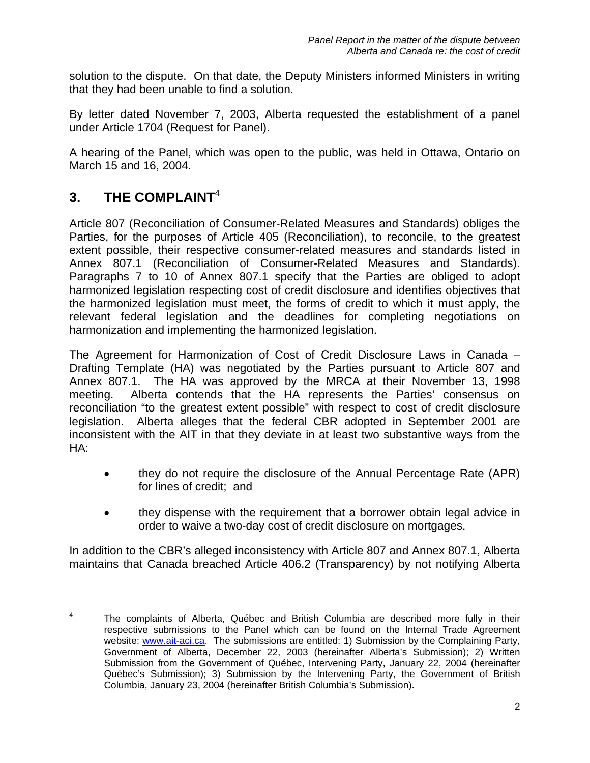solution to the dispute. On that date, the Deputy Ministers informed Ministers in writing that they had been unable to find a solution.

By letter dated November 7, 2003, Alberta requested the establishment of a panel under Article 1704 (Request for Panel).

A hearing of the Panel, which was open to the public, was held in Ottawa, Ontario on March 15 and 16, 2004.

## **3. THE COMPLAINT**<sup>4</sup>

l

Article 807 (Reconciliation of Consumer-Related Measures and Standards) obliges the Parties, for the purposes of Article 405 (Reconciliation), to reconcile, to the greatest extent possible, their respective consumer-related measures and standards listed in Annex 807.1 (Reconciliation of Consumer-Related Measures and Standards). Paragraphs 7 to 10 of Annex 807.1 specify that the Parties are obliged to adopt harmonized legislation respecting cost of credit disclosure and identifies objectives that the harmonized legislation must meet, the forms of credit to which it must apply, the relevant federal legislation and the deadlines for completing negotiations on harmonization and implementing the harmonized legislation.

The Agreement for Harmonization of Cost of Credit Disclosure Laws in Canada – Drafting Template (HA) was negotiated by the Parties pursuant to Article 807 and Annex 807.1. The HA was approved by the MRCA at their November 13, 1998 meeting. Alberta contends that the HA represents the Parties' consensus on reconciliation "to the greatest extent possible" with respect to cost of credit disclosure legislation. Alberta alleges that the federal CBR adopted in September 2001 are inconsistent with the AIT in that they deviate in at least two substantive ways from the HA:

- they do not require the disclosure of the Annual Percentage Rate (APR) for lines of credit; and
- they dispense with the requirement that a borrower obtain legal advice in order to waive a two-day cost of credit disclosure on mortgages.

In addition to the CBR's alleged inconsistency with Article 807 and Annex 807.1, Alberta maintains that Canada breached Article 406.2 (Transparency) by not notifying Alberta

<sup>4</sup> The complaints of Alberta, Québec and British Columbia are described more fully in their respective submissions to the Panel which can be found on the Internal Trade Agreement website: www.ait-aci.ca. The submissions are entitled: 1) Submission by the Complaining Party, Government of Alberta, December 22, 2003 (hereinafter Alberta's Submission); 2) Written Submission from the Government of Québec, Intervening Party, January 22, 2004 (hereinafter Québec's Submission); 3) Submission by the Intervening Party, the Government of British Columbia, January 23, 2004 (hereinafter British Columbia's Submission).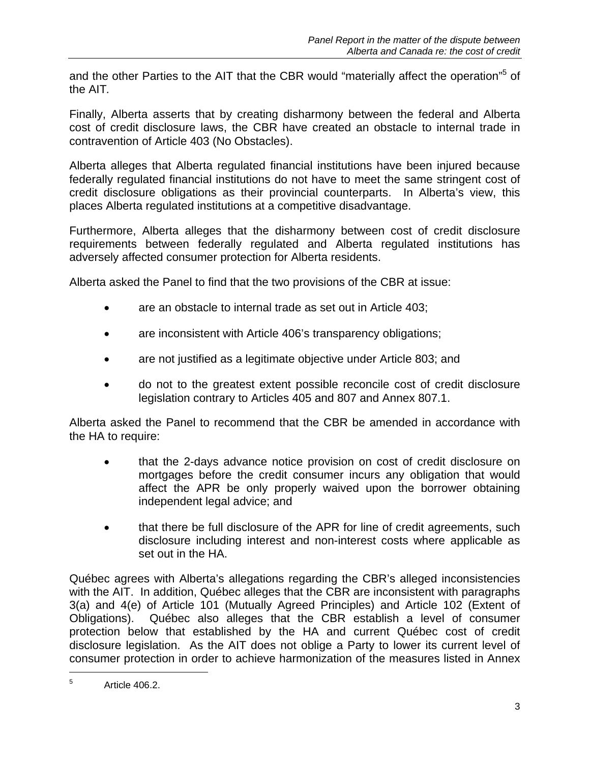and the other Parties to the AIT that the CBR would "materially affect the operation"<sup>5</sup> of the AIT*.* 

Finally, Alberta asserts that by creating disharmony between the federal and Alberta cost of credit disclosure laws, the CBR have created an obstacle to internal trade in contravention of Article 403 (No Obstacles).

Alberta alleges that Alberta regulated financial institutions have been injured because federally regulated financial institutions do not have to meet the same stringent cost of credit disclosure obligations as their provincial counterparts. In Alberta's view, this places Alberta regulated institutions at a competitive disadvantage.

Furthermore, Alberta alleges that the disharmony between cost of credit disclosure requirements between federally regulated and Alberta regulated institutions has adversely affected consumer protection for Alberta residents.

Alberta asked the Panel to find that the two provisions of the CBR at issue:

- are an obstacle to internal trade as set out in Article 403;
- are inconsistent with Article 406's transparency obligations;
- are not justified as a legitimate objective under Article 803; and
- do not to the greatest extent possible reconcile cost of credit disclosure legislation contrary to Articles 405 and 807 and Annex 807.1.

Alberta asked the Panel to recommend that the CBR be amended in accordance with the HA to require:

- that the 2-days advance notice provision on cost of credit disclosure on mortgages before the credit consumer incurs any obligation that would affect the APR be only properly waived upon the borrower obtaining independent legal advice; and
- that there be full disclosure of the APR for line of credit agreements, such disclosure including interest and non-interest costs where applicable as set out in the HA.

Québec agrees with Alberta's allegations regarding the CBR's alleged inconsistencies with the AIT. In addition, Québec alleges that the CBR are inconsistent with paragraphs 3(a) and 4(e) of Article 101 (Mutually Agreed Principles) and Article 102 (Extent of Obligations). Québec also alleges that the CBR establish a level of consumer protection below that established by the HA and current Québec cost of credit disclosure legislation. As the AIT does not oblige a Party to lower its current level of consumer protection in order to achieve harmonization of the measures listed in Annex

<sup>5</sup> Article 406.2.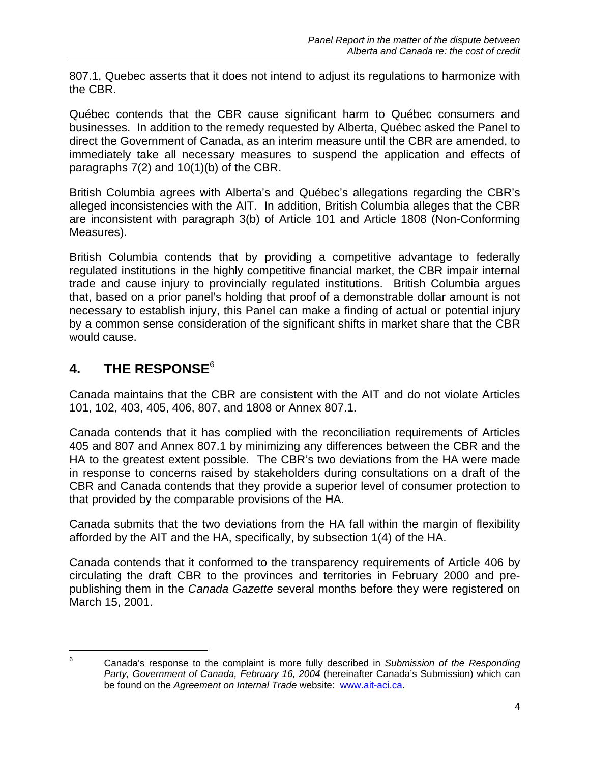807.1, Quebec asserts that it does not intend to adjust its regulations to harmonize with the CBR.

Québec contends that the CBR cause significant harm to Québec consumers and businesses. In addition to the remedy requested by Alberta, Québec asked the Panel to direct the Government of Canada, as an interim measure until the CBR are amended, to immediately take all necessary measures to suspend the application and effects of paragraphs 7(2) and 10(1)(b) of the CBR.

British Columbia agrees with Alberta's and Québec's allegations regarding the CBR's alleged inconsistencies with the AIT. In addition, British Columbia alleges that the CBR are inconsistent with paragraph 3(b) of Article 101 and Article 1808 (Non-Conforming Measures).

British Columbia contends that by providing a competitive advantage to federally regulated institutions in the highly competitive financial market, the CBR impair internal trade and cause injury to provincially regulated institutions. British Columbia argues that, based on a prior panel's holding that proof of a demonstrable dollar amount is not necessary to establish injury, this Panel can make a finding of actual or potential injury by a common sense consideration of the significant shifts in market share that the CBR would cause.

## **4. THE RESPONSE**<sup>6</sup>

l

Canada maintains that the CBR are consistent with the AIT and do not violate Articles 101, 102, 403, 405, 406, 807, and 1808 or Annex 807.1.

Canada contends that it has complied with the reconciliation requirements of Articles 405 and 807 and Annex 807.1 by minimizing any differences between the CBR and the HA to the greatest extent possible. The CBR's two deviations from the HA were made in response to concerns raised by stakeholders during consultations on a draft of the CBR and Canada contends that they provide a superior level of consumer protection to that provided by the comparable provisions of the HA.

Canada submits that the two deviations from the HA fall within the margin of flexibility afforded by the AIT and the HA, specifically, by subsection 1(4) of the HA.

Canada contends that it conformed to the transparency requirements of Article 406 by circulating the draft CBR to the provinces and territories in February 2000 and prepublishing them in the *Canada Gazette* several months before they were registered on March 15, 2001.

<sup>6</sup> Canada's response to the complaint is more fully described in *Submission of the Responding Party, Government of Canada, February 16, 2004* (hereinafter Canada's Submission) which can be found on the *Agreement on Internal Trade* website: www.ait-aci.ca.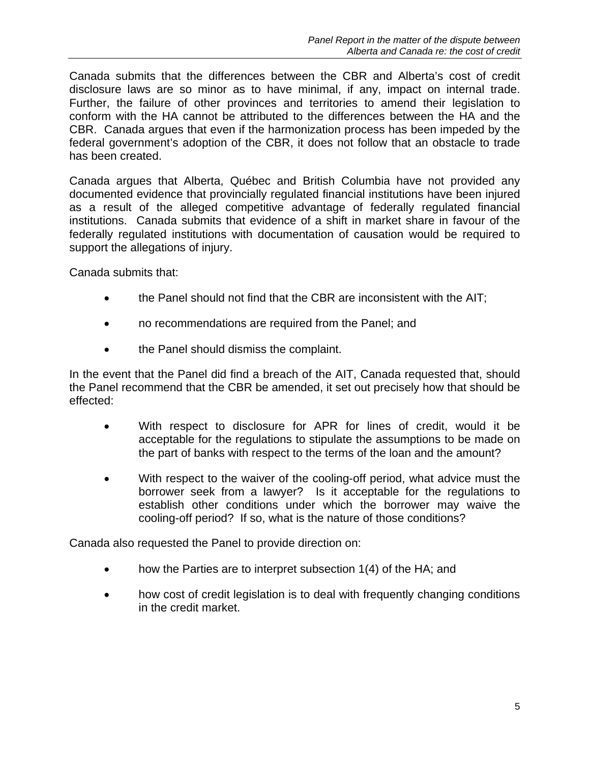Canada submits that the differences between the CBR and Alberta's cost of credit disclosure laws are so minor as to have minimal, if any, impact on internal trade. Further, the failure of other provinces and territories to amend their legislation to conform with the HA cannot be attributed to the differences between the HA and the CBR. Canada argues that even if the harmonization process has been impeded by the federal government's adoption of the CBR, it does not follow that an obstacle to trade has been created.

Canada argues that Alberta, Québec and British Columbia have not provided any documented evidence that provincially regulated financial institutions have been injured as a result of the alleged competitive advantage of federally regulated financial institutions. Canada submits that evidence of a shift in market share in favour of the federally regulated institutions with documentation of causation would be required to support the allegations of injury.

Canada submits that:

- the Panel should not find that the CBR are inconsistent with the AIT;
- no recommendations are required from the Panel; and
- the Panel should dismiss the complaint.

In the event that the Panel did find a breach of the AIT, Canada requested that, should the Panel recommend that the CBR be amended, it set out precisely how that should be effected:

- With respect to disclosure for APR for lines of credit, would it be acceptable for the regulations to stipulate the assumptions to be made on the part of banks with respect to the terms of the loan and the amount?
- With respect to the waiver of the cooling-off period, what advice must the borrower seek from a lawyer? Is it acceptable for the regulations to establish other conditions under which the borrower may waive the cooling-off period? If so, what is the nature of those conditions?

Canada also requested the Panel to provide direction on:

- how the Parties are to interpret subsection 1(4) of the HA; and
- how cost of credit legislation is to deal with frequently changing conditions in the credit market.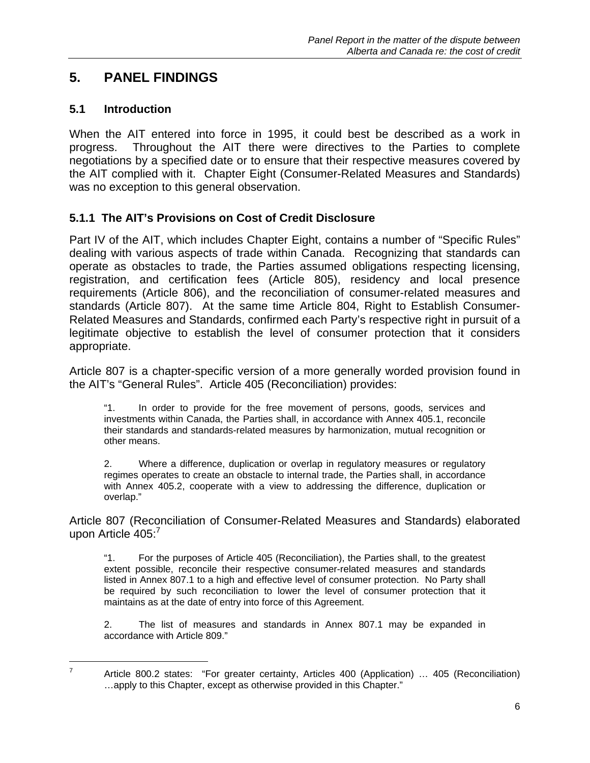### **5. PANEL FINDINGS**

#### **5.1 Introduction**

When the AIT entered into force in 1995, it could best be described as a work in progress. Throughout the AIT there were directives to the Parties to complete negotiations by a specified date or to ensure that their respective measures covered by the AIT complied with it. Chapter Eight (Consumer-Related Measures and Standards) was no exception to this general observation.

#### **5.1.1 The AIT's Provisions on Cost of Credit Disclosure**

Part IV of the AIT, which includes Chapter Eight, contains a number of "Specific Rules" dealing with various aspects of trade within Canada. Recognizing that standards can operate as obstacles to trade, the Parties assumed obligations respecting licensing, registration, and certification fees (Article 805), residency and local presence requirements (Article 806), and the reconciliation of consumer-related measures and standards (Article 807). At the same time Article 804, Right to Establish Consumer-Related Measures and Standards, confirmed each Party's respective right in pursuit of a legitimate objective to establish the level of consumer protection that it considers appropriate.

Article 807 is a chapter-specific version of a more generally worded provision found in the AIT's "General Rules". Article 405 (Reconciliation) provides:

"1. In order to provide for the free movement of persons, goods, services and investments within Canada, the Parties shall, in accordance with Annex 405.1, reconcile their standards and standards-related measures by harmonization, mutual recognition or other means.

2. Where a difference, duplication or overlap in regulatory measures or regulatory regimes operates to create an obstacle to internal trade, the Parties shall, in accordance with Annex 405.2, cooperate with a view to addressing the difference, duplication or overlap."

Article 807 (Reconciliation of Consumer-Related Measures and Standards) elaborated upon Article 405:<sup>7</sup>

"1. For the purposes of Article 405 (Reconciliation), the Parties shall, to the greatest extent possible, reconcile their respective consumer-related measures and standards listed in Annex 807.1 to a high and effective level of consumer protection. No Party shall be required by such reconciliation to lower the level of consumer protection that it maintains as at the date of entry into force of this Agreement.

2. The list of measures and standards in Annex 807.1 may be expanded in accordance with Article 809."

Article 800.2 states: "For greater certainty, Articles 400 (Application) … 405 (Reconciliation) …apply to this Chapter, except as otherwise provided in this Chapter."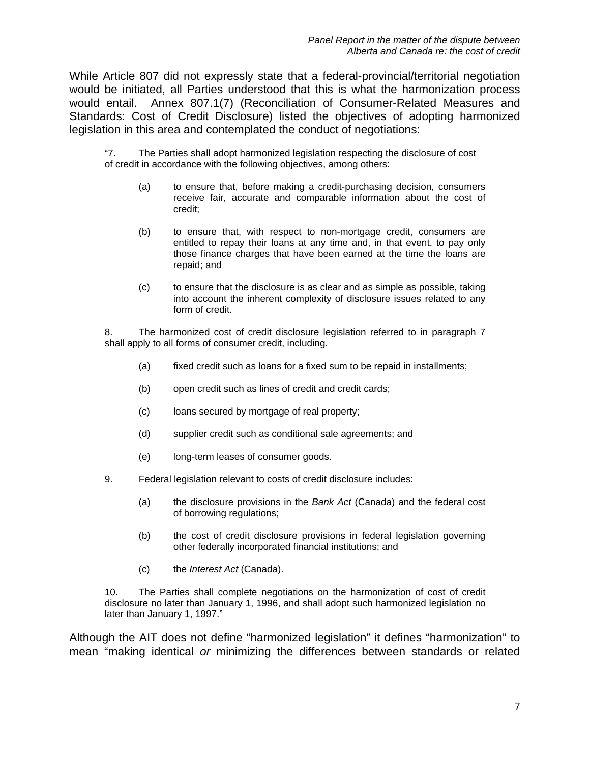While Article 807 did not expressly state that a federal-provincial/territorial negotiation would be initiated, all Parties understood that this is what the harmonization process would entail. Annex 807.1(7) (Reconciliation of Consumer-Related Measures and Standards: Cost of Credit Disclosure) listed the objectives of adopting harmonized legislation in this area and contemplated the conduct of negotiations:

"7. The Parties shall adopt harmonized legislation respecting the disclosure of cost of credit in accordance with the following objectives, among others:

- (a) to ensure that, before making a credit-purchasing decision, consumers receive fair, accurate and comparable information about the cost of credit;
- (b) to ensure that, with respect to non-mortgage credit, consumers are entitled to repay their loans at any time and, in that event, to pay only those finance charges that have been earned at the time the loans are repaid; and
- (c) to ensure that the disclosure is as clear and as simple as possible, taking into account the inherent complexity of disclosure issues related to any form of credit.

8. The harmonized cost of credit disclosure legislation referred to in paragraph 7 shall apply to all forms of consumer credit, including.

- (a) fixed credit such as loans for a fixed sum to be repaid in installments;
- (b) open credit such as lines of credit and credit cards;
- (c) loans secured by mortgage of real property;
- (d) supplier credit such as conditional sale agreements; and
- (e) long-term leases of consumer goods.
- 9. Federal legislation relevant to costs of credit disclosure includes:
	- (a) the disclosure provisions in the *Bank Act* (Canada) and the federal cost of borrowing regulations;
	- (b) the cost of credit disclosure provisions in federal legislation governing other federally incorporated financial institutions; and
	- (c) the *Interest Act* (Canada).

10. The Parties shall complete negotiations on the harmonization of cost of credit disclosure no later than January 1, 1996, and shall adopt such harmonized legislation no later than January 1, 1997."

Although the AIT does not define "harmonized legislation" it defines "harmonization" to mean "making identical *or* minimizing the differences between standards or related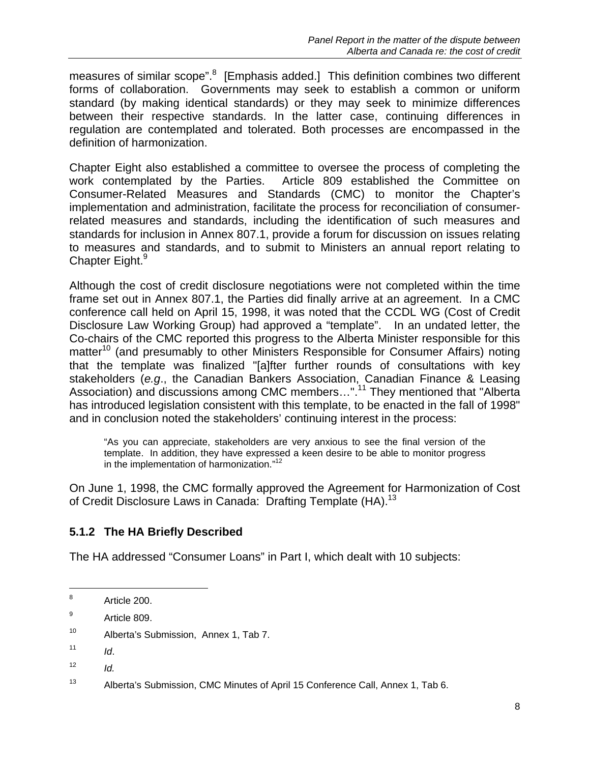measures of similar scope".<sup>8</sup> [Emphasis added.] This definition combines two different forms of collaboration. Governments may seek to establish a common or uniform standard (by making identical standards) or they may seek to minimize differences between their respective standards. In the latter case, continuing differences in regulation are contemplated and tolerated. Both processes are encompassed in the definition of harmonization.

Chapter Eight also established a committee to oversee the process of completing the work contemplated by the Parties. Article 809 established the Committee on Consumer-Related Measures and Standards (CMC) to monitor the Chapter's implementation and administration, facilitate the process for reconciliation of consumerrelated measures and standards, including the identification of such measures and standards for inclusion in Annex 807.1, provide a forum for discussion on issues relating to measures and standards, and to submit to Ministers an annual report relating to Chapter Eight.<sup>9</sup>

Although the cost of credit disclosure negotiations were not completed within the time frame set out in Annex 807.1, the Parties did finally arrive at an agreement. In a CMC conference call held on April 15, 1998, it was noted that the CCDL WG (Cost of Credit Disclosure Law Working Group) had approved a "template". In an undated letter, the Co-chairs of the CMC reported this progress to the Alberta Minister responsible for this matter<sup>10</sup> (and presumably to other Ministers Responsible for Consumer Affairs) noting that the template was finalized "[a]fter further rounds of consultations with key stakeholders (*e.g*., the Canadian Bankers Association, Canadian Finance & Leasing Association) and discussions among CMC members...".<sup>11</sup> They mentioned that "Alberta has introduced legislation consistent with this template, to be enacted in the fall of 1998" and in conclusion noted the stakeholders' continuing interest in the process:

"As you can appreciate, stakeholders are very anxious to see the final version of the template. In addition, they have expressed a keen desire to be able to monitor progress in the implementation of harmonization."<sup>12</sup>

On June 1, 1998, the CMC formally approved the Agreement for Harmonization of Cost of Credit Disclosure Laws in Canada: Drafting Template (HA).<sup>13</sup>

#### **5.1.2 The HA Briefly Described**

The HA addressed "Consumer Loans" in Part I, which dealt with 10 subjects:

l

 $12$  *Id.* 

<sup>8</sup> Article 200.

<sup>9</sup> Article 809.

<sup>10</sup> Alberta's Submission, Annex 1, Tab 7.

 $11$  *Id.* 

<sup>&</sup>lt;sup>13</sup> Alberta's Submission, CMC Minutes of April 15 Conference Call, Annex 1, Tab 6.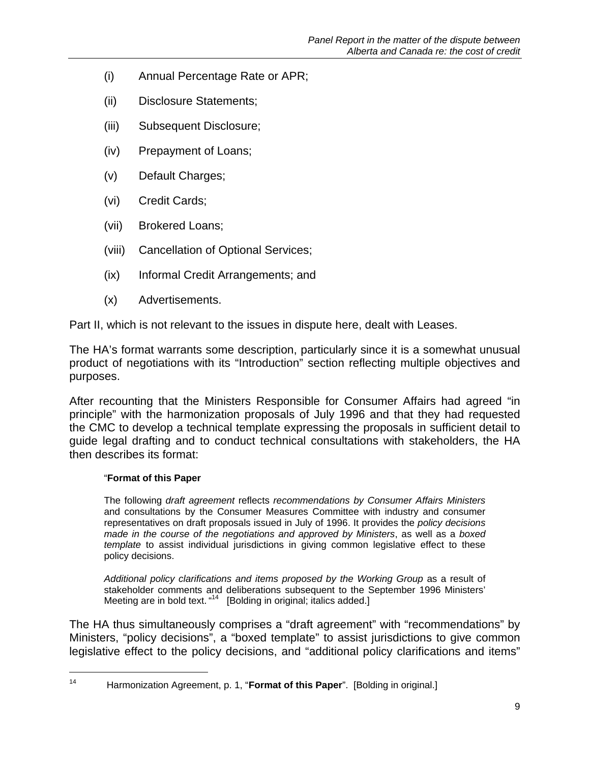- (i) Annual Percentage Rate or APR;
- (ii) Disclosure Statements;
- (iii) Subsequent Disclosure;
- (iv) Prepayment of Loans;
- (v) Default Charges;
- (vi) Credit Cards;
- (vii) Brokered Loans;
- (viii) Cancellation of Optional Services;
- (ix) Informal Credit Arrangements; and
- (x) Advertisements.

Part II, which is not relevant to the issues in dispute here, dealt with Leases.

The HA's format warrants some description, particularly since it is a somewhat unusual product of negotiations with its "Introduction" section reflecting multiple objectives and purposes.

After recounting that the Ministers Responsible for Consumer Affairs had agreed "in principle" with the harmonization proposals of July 1996 and that they had requested the CMC to develop a technical template expressing the proposals in sufficient detail to guide legal drafting and to conduct technical consultations with stakeholders, the HA then describes its format:

#### "**Format of this Paper**

l

The following *draft agreement* reflects *recommendations by Consumer Affairs Ministers*  and consultations by the Consumer Measures Committee with industry and consumer representatives on draft proposals issued in July of 1996. It provides the *policy decisions made in the course of the negotiations and approved by Ministers*, as well as a *boxed template* to assist individual jurisdictions in giving common legislative effect to these policy decisions.

*Additional policy clarifications and items proposed by the Working Group* as a result of stakeholder comments and deliberations subsequent to the September 1996 Ministers' Meeting are in bold text. "<sup>14</sup> [Bolding in original; italics added.]

The HA thus simultaneously comprises a "draft agreement" with "recommendations" by Ministers, "policy decisions", a "boxed template" to assist jurisdictions to give common legislative effect to the policy decisions, and "additional policy clarifications and items"

<sup>14</sup> Harmonization Agreement, p. 1, "**Format of this Paper**". [Bolding in original.]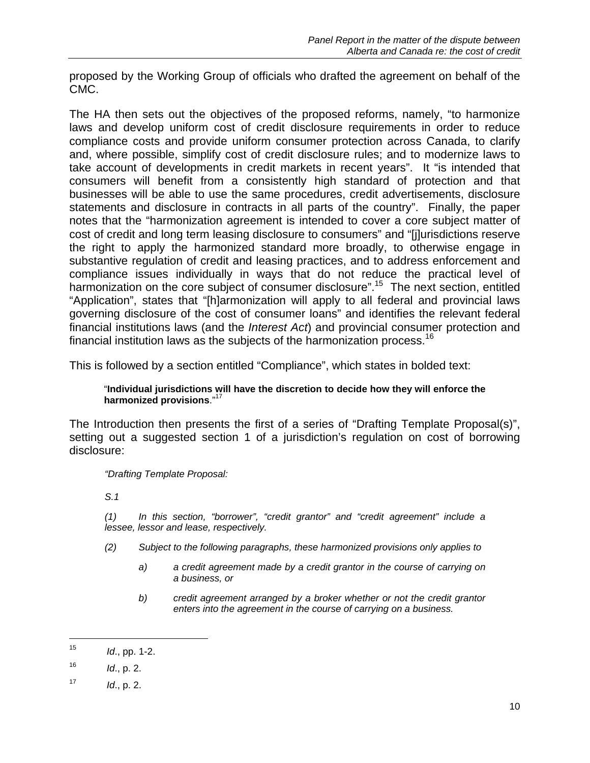proposed by the Working Group of officials who drafted the agreement on behalf of the CMC.

The HA then sets out the objectives of the proposed reforms, namely, "to harmonize laws and develop uniform cost of credit disclosure requirements in order to reduce compliance costs and provide uniform consumer protection across Canada, to clarify and, where possible, simplify cost of credit disclosure rules; and to modernize laws to take account of developments in credit markets in recent years". It "is intended that consumers will benefit from a consistently high standard of protection and that businesses will be able to use the same procedures, credit advertisements, disclosure statements and disclosure in contracts in all parts of the country". Finally, the paper notes that the "harmonization agreement is intended to cover a core subject matter of cost of credit and long term leasing disclosure to consumers" and "[j]urisdictions reserve the right to apply the harmonized standard more broadly, to otherwise engage in substantive regulation of credit and leasing practices, and to address enforcement and compliance issues individually in ways that do not reduce the practical level of harmonization on the core subject of consumer disclosure".<sup>15</sup> The next section, entitled "Application", states that "[h]armonization will apply to all federal and provincial laws governing disclosure of the cost of consumer loans" and identifies the relevant federal financial institutions laws (and the *Interest Act*) and provincial consumer protection and financial institution laws as the subjects of the harmonization process.<sup>16</sup>

This is followed by a section entitled "Compliance", which states in bolded text:

#### "**Individual jurisdictions will have the discretion to decide how they will enforce the harmonized provisions**."<sup>17</sup>

The Introduction then presents the first of a series of "Drafting Template Proposal(s)", setting out a suggested section 1 of a jurisdiction's regulation on cost of borrowing disclosure:

*"Drafting Template Proposal:*

*S.1* 

*(1) In this section, "borrower", "credit grantor" and "credit agreement" include a lessee, lessor and lease, respectively.* 

- *(2) Subject to the following paragraphs, these harmonized provisions only applies to* 
	- *a) a credit agreement made by a credit grantor in the course of carrying on a business, or*
	- *b) credit agreement arranged by a broker whether or not the credit grantor enters into the agreement in the course of carrying on a business.*

-

 $15$  *Id.*, pp. 1-2.

 $16$  *Id.*, p. 2.

 $17$  *Id.*, p. 2.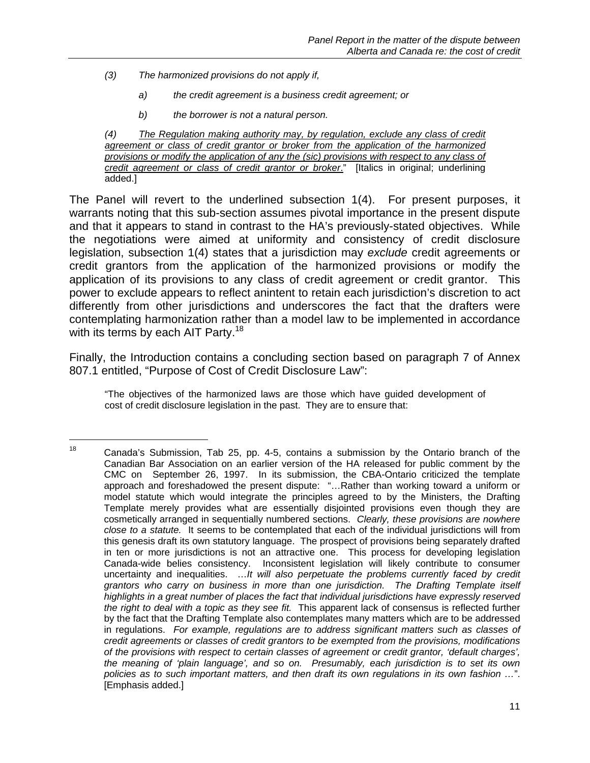*(3) The harmonized provisions do not apply if,* 

1

- *a) the credit agreement is a business credit agreement; or*
- *b) the borrower is not a natural person.*

*(4) The Regulation making authority may, by regulation, exclude any class of credit agreement or class of credit grantor or broker from the application of the harmonized provisions or modify the application of any the (sic) provisions with respect to any class of credit agreement or class of credit grantor or broker*." [Italics in original; underlining added.]

The Panel will revert to the underlined subsection 1(4). For present purposes, it warrants noting that this sub-section assumes pivotal importance in the present dispute and that it appears to stand in contrast to the HA's previously-stated objectives. While the negotiations were aimed at uniformity and consistency of credit disclosure legislation, subsection 1(4) states that a jurisdiction may *exclude* credit agreements or credit grantors from the application of the harmonized provisions or modify the application of its provisions to any class of credit agreement or credit grantor. This power to exclude appears to reflect anintent to retain each jurisdiction's discretion to act differently from other jurisdictions and underscores the fact that the drafters were contemplating harmonization rather than a model law to be implemented in accordance with its terms by each AIT Party.<sup>18</sup>

Finally, the Introduction contains a concluding section based on paragraph 7 of Annex 807.1 entitled, "Purpose of Cost of Credit Disclosure Law":

"The objectives of the harmonized laws are those which have guided development of cost of credit disclosure legislation in the past. They are to ensure that:

<sup>&</sup>lt;sup>18</sup> Canada's Submission, Tab 25, pp. 4-5, contains a submission by the Ontario branch of the Canadian Bar Association on an earlier version of the HA released for public comment by the CMC on September 26, 1997. In its submission, the CBA-Ontario criticized the template approach and foreshadowed the present dispute: "…Rather than working toward a uniform or model statute which would integrate the principles agreed to by the Ministers, the Drafting Template merely provides what are essentially disjointed provisions even though they are cosmetically arranged in sequentially numbered sections. *Clearly, these provisions are nowhere close to a statute.* It seems to be contemplated that each of the individual jurisdictions will from this genesis draft its own statutory language. The prospect of provisions being separately drafted in ten or more jurisdictions is not an attractive one. This process for developing legislation Canada-wide belies consistency. Inconsistent legislation will likely contribute to consumer uncertainty and inequalities. …*It will also perpetuate the problems currently faced by credit grantors who carry on business in more than one jurisdiction. The Drafting Template itself highlights in a great number of places the fact that individual jurisdictions have expressly reserved the right to deal with a topic as they see fit.* This apparent lack of consensus is reflected further by the fact that the Drafting Template also contemplates many matters which are to be addressed in regulations. *For example, regulations are to address significant matters such as classes of credit agreements or classes of credit grantors to be exempted from the provisions, modifications of the provisions with respect to certain classes of agreement or credit grantor, 'default charges', the meaning of 'plain language', and so on. Presumably, each jurisdiction is to set its own policies as to such important matters, and then draft its own regulations in its own fashion …*". [Emphasis added.]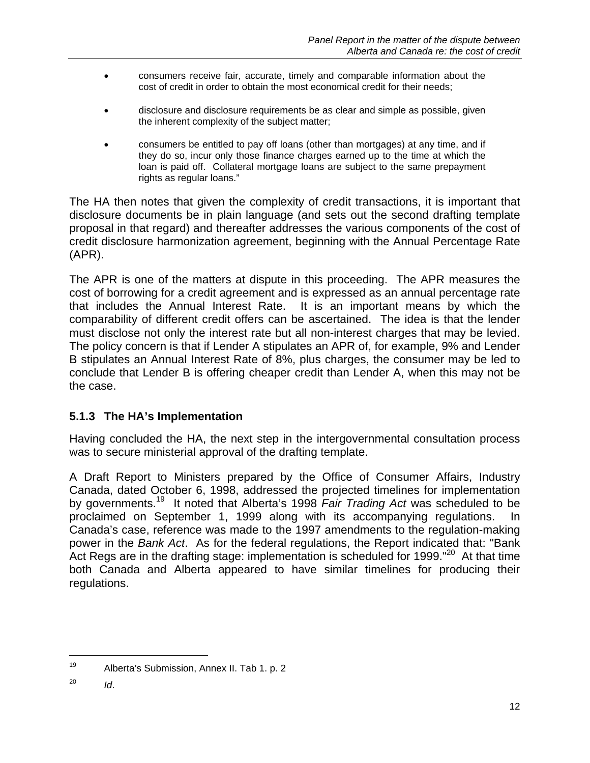- consumers receive fair, accurate, timely and comparable information about the cost of credit in order to obtain the most economical credit for their needs;
- disclosure and disclosure requirements be as clear and simple as possible, given the inherent complexity of the subject matter;
- consumers be entitled to pay off loans (other than mortgages) at any time, and if they do so, incur only those finance charges earned up to the time at which the loan is paid off. Collateral mortgage loans are subject to the same prepayment rights as regular loans."

The HA then notes that given the complexity of credit transactions, it is important that disclosure documents be in plain language (and sets out the second drafting template proposal in that regard) and thereafter addresses the various components of the cost of credit disclosure harmonization agreement, beginning with the Annual Percentage Rate (APR).

The APR is one of the matters at dispute in this proceeding. The APR measures the cost of borrowing for a credit agreement and is expressed as an annual percentage rate that includes the Annual Interest Rate. It is an important means by which the comparability of different credit offers can be ascertained. The idea is that the lender must disclose not only the interest rate but all non-interest charges that may be levied. The policy concern is that if Lender A stipulates an APR of, for example, 9% and Lender B stipulates an Annual Interest Rate of 8%, plus charges, the consumer may be led to conclude that Lender B is offering cheaper credit than Lender A, when this may not be the case.

#### **5.1.3 The HA's Implementation**

Having concluded the HA, the next step in the intergovernmental consultation process was to secure ministerial approval of the drafting template.

A Draft Report to Ministers prepared by the Office of Consumer Affairs, Industry Canada, dated October 6, 1998, addressed the projected timelines for implementation by governments.19 It noted that Alberta's 1998 *Fair Trading Act* was scheduled to be proclaimed on September 1, 1999 along with its accompanying regulations. In Canada's case, reference was made to the 1997 amendments to the regulation-making power in the *Bank Act*. As for the federal regulations, the Report indicated that: "Bank Act Regs are in the drafting stage: implementation is scheduled for 1999."<sup>20</sup> At that time both Canada and Alberta appeared to have similar timelines for producing their regulations.

<sup>19</sup> Alberta's Submission, Annex II. Tab 1. p. 2

<sup>20</sup> *Id*.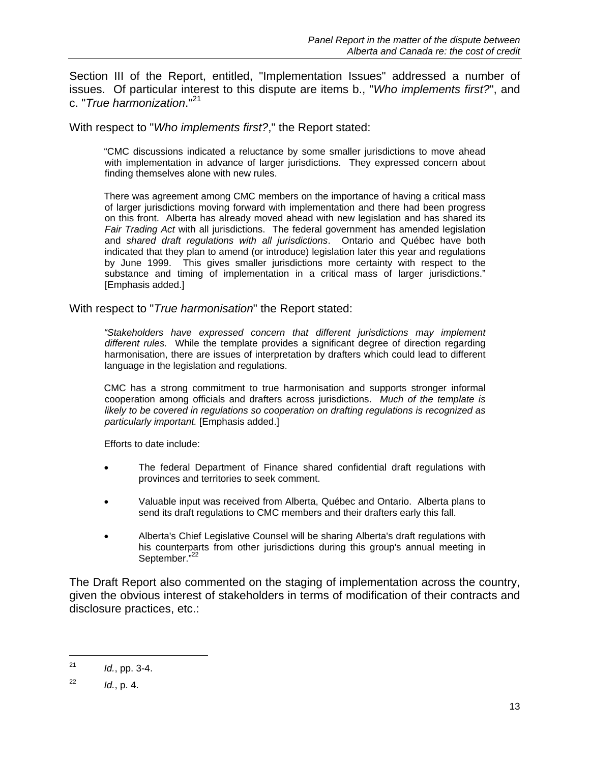Section III of the Report, entitled, "Implementation Issues" addressed a number of issues. Of particular interest to this dispute are items b., "*Who implements first?*", and c. "*True harmonization*."21

With respect to "*Who implements first?*," the Report stated:

"CMC discussions indicated a reluctance by some smaller jurisdictions to move ahead with implementation in advance of larger jurisdictions. They expressed concern about finding themselves alone with new rules.

There was agreement among CMC members on the importance of having a critical mass of larger jurisdictions moving forward with implementation and there had been progress on this front. Alberta has already moved ahead with new legislation and has shared its *Fair Trading Act* with all jurisdictions. The federal government has amended legislation and *shared draft regulations with all jurisdictions*. Ontario and Québec have both indicated that they plan to amend (or introduce) legislation later this year and regulations by June 1999. This gives smaller jurisdictions more certainty with respect to the substance and timing of implementation in a critical mass of larger jurisdictions." [Emphasis added.]

With respect to "*True harmonisation*" the Report stated:

*"Stakeholders have expressed concern that different jurisdictions may implement different rules.* While the template provides a significant degree of direction regarding harmonisation, there are issues of interpretation by drafters which could lead to different language in the legislation and regulations.

CMC has a strong commitment to true harmonisation and supports stronger informal cooperation among officials and drafters across jurisdictions. *Much of the template is likely to be covered in regulations so cooperation on drafting regulations is recognized as particularly important.* [Emphasis added.]

Efforts to date include:

- The federal Department of Finance shared confidential draft regulations with provinces and territories to seek comment.
- Valuable input was received from Alberta, Québec and Ontario. Alberta plans to send its draft regulations to CMC members and their drafters early this fall.
- Alberta's Chief Legislative Counsel will be sharing Alberta's draft regulations with his counterparts from other jurisdictions during this group's annual meeting in September."<sup>22</sup>

The Draft Report also commented on the staging of implementation across the country, given the obvious interest of stakeholders in terms of modification of their contracts and disclosure practices, etc.:

<sup>21</sup> *Id.*, pp. 3-4.

 $10^2$ , p. 4.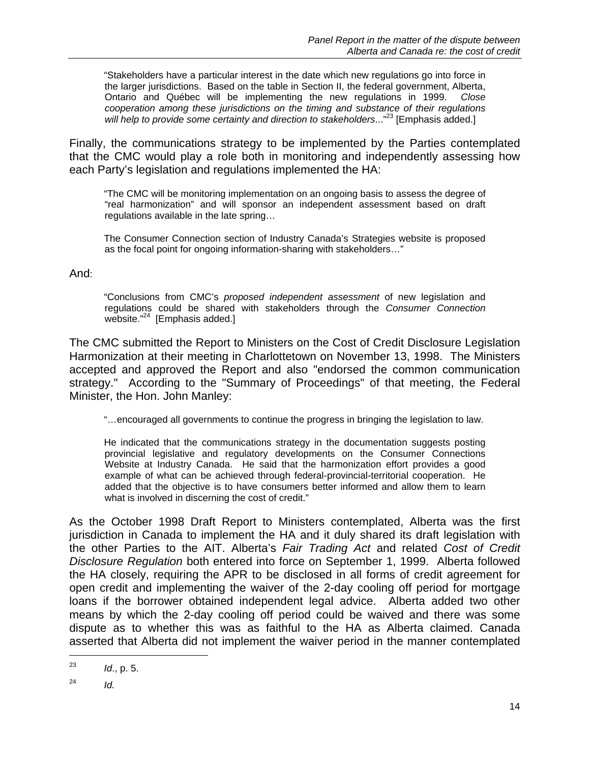"Stakeholders have a particular interest in the date which new regulations go into force in the larger jurisdictions. Based on the table in Section II, the federal government, Alberta, Ontario and Québec will be implementing the new regulations in 1999. *Close cooperation among these jurisdictions on the timing and substance of their regulations will help to provide some certainty and direction to stakeholders*..."23 [Emphasis added.]

Finally, the communications strategy to be implemented by the Parties contemplated that the CMC would play a role both in monitoring and independently assessing how each Party's legislation and regulations implemented the HA:

"The CMC will be monitoring implementation on an ongoing basis to assess the degree of "real harmonization" and will sponsor an independent assessment based on draft regulations available in the late spring…

The Consumer Connection section of Industry Canada's Strategies website is proposed as the focal point for ongoing information-sharing with stakeholders…"

#### And:

"Conclusions from CMC's *proposed independent assessment* of new legislation and regulations could be shared with stakeholders through the *Consumer Connection* website."<sup>24</sup> [Emphasis added.]

The CMC submitted the Report to Ministers on the Cost of Credit Disclosure Legislation Harmonization at their meeting in Charlottetown on November 13, 1998. The Ministers accepted and approved the Report and also "endorsed the common communication strategy." According to the "Summary of Proceedings" of that meeting, the Federal Minister, the Hon. John Manley:

"…encouraged all governments to continue the progress in bringing the legislation to law.

He indicated that the communications strategy in the documentation suggests posting provincial legislative and regulatory developments on the Consumer Connections Website at Industry Canada. He said that the harmonization effort provides a good example of what can be achieved through federal-provincial-territorial cooperation. He added that the objective is to have consumers better informed and allow them to learn what is involved in discerning the cost of credit."

As the October 1998 Draft Report to Ministers contemplated, Alberta was the first jurisdiction in Canada to implement the HA and it duly shared its draft legislation with the other Parties to the AIT. Alberta's *Fair Trading Act* and related *Cost of Credit Disclosure Regulation* both entered into force on September 1, 1999. Alberta followed the HA closely, requiring the APR to be disclosed in all forms of credit agreement for open credit and implementing the waiver of the 2-day cooling off period for mortgage loans if the borrower obtained independent legal advice. Alberta added two other means by which the 2-day cooling off period could be waived and there was some dispute as to whether this was as faithful to the HA as Alberta claimed. Canada asserted that Alberta did not implement the waiver period in the manner contemplated

<sup>23</sup> *Id*., p. 5.

 $^{24}$  *Id.*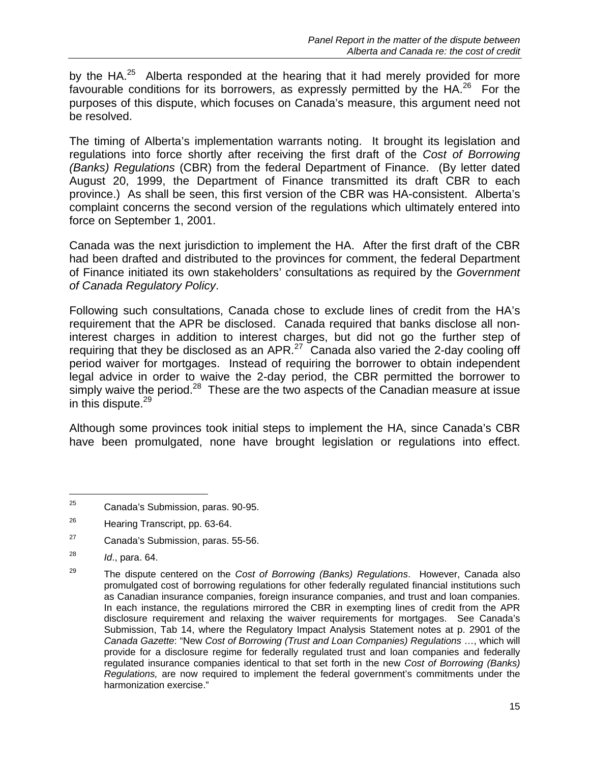by the HA.<sup>25</sup> Alberta responded at the hearing that it had merely provided for more favourable conditions for its borrowers, as expressly permitted by the HA.<sup>26</sup> For the purposes of this dispute, which focuses on Canada's measure, this argument need not be resolved.

The timing of Alberta's implementation warrants noting. It brought its legislation and regulations into force shortly after receiving the first draft of the *Cost of Borrowing (Banks) Regulations* (CBR) from the federal Department of Finance. (By letter dated August 20, 1999, the Department of Finance transmitted its draft CBR to each province.) As shall be seen, this first version of the CBR was HA-consistent. Alberta's complaint concerns the second version of the regulations which ultimately entered into force on September 1, 2001.

Canada was the next jurisdiction to implement the HA. After the first draft of the CBR had been drafted and distributed to the provinces for comment, the federal Department of Finance initiated its own stakeholders' consultations as required by the *Government of Canada Regulatory Policy*.

Following such consultations, Canada chose to exclude lines of credit from the HA's requirement that the APR be disclosed. Canada required that banks disclose all noninterest charges in addition to interest charges, but did not go the further step of requiring that they be disclosed as an APR. $^{27}$  Canada also varied the 2-day cooling off period waiver for mortgages. Instead of requiring the borrower to obtain independent legal advice in order to waive the 2-day period, the CBR permitted the borrower to simply waive the period.<sup>28</sup> These are the two aspects of the Canadian measure at issue in this dispute. $29$ 

Although some provinces took initial steps to implement the HA, since Canada's CBR have been promulgated, none have brought legislation or regulations into effect.

<sup>25</sup> Canada's Submission, paras. 90-95.

<sup>&</sup>lt;sup>26</sup> Hearing Transcript, pp. 63-64.

<sup>27</sup> Canada's Submission, paras. 55-56.

<sup>28</sup> *Id*., para. 64.

<sup>29</sup> The dispute centered on the *Cost of Borrowing (Banks) Regulations*. However, Canada also promulgated cost of borrowing regulations for other federally regulated financial institutions such as Canadian insurance companies, foreign insurance companies, and trust and loan companies. In each instance, the regulations mirrored the CBR in exempting lines of credit from the APR disclosure requirement and relaxing the waiver requirements for mortgages. See Canada's Submission, Tab 14, where the Regulatory Impact Analysis Statement notes at p. 2901 of the *Canada Gazette*: "New *Cost of Borrowing (Trust and Loan Companies) Regulations* …, which will provide for a disclosure regime for federally regulated trust and loan companies and federally regulated insurance companies identical to that set forth in the new *Cost of Borrowing (Banks) Regulations,* are now required to implement the federal government's commitments under the harmonization exercise."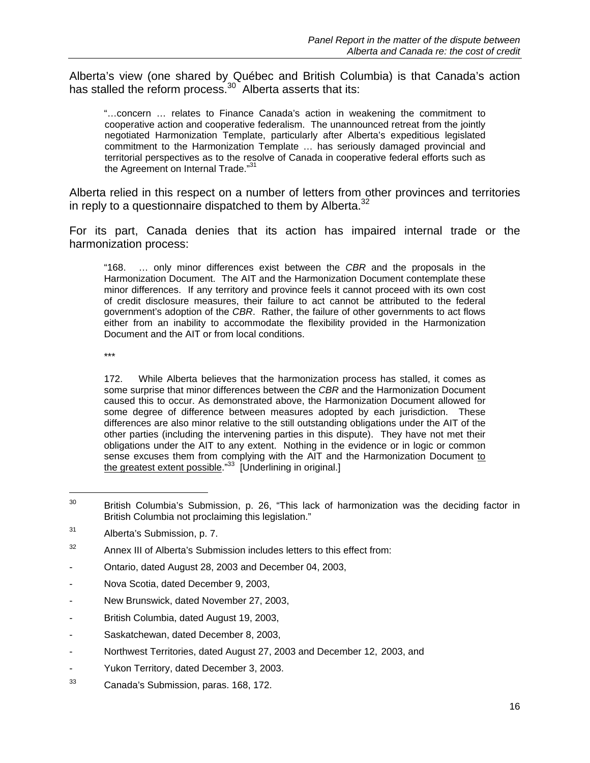Alberta's view (one shared by Québec and British Columbia) is that Canada's action has stalled the reform process.<sup>30</sup> Alberta asserts that its:

"…concern … relates to Finance Canada's action in weakening the commitment to cooperative action and cooperative federalism. The unannounced retreat from the jointly negotiated Harmonization Template, particularly after Alberta's expeditious legislated commitment to the Harmonization Template … has seriously damaged provincial and territorial perspectives as to the resolve of Canada in cooperative federal efforts such as the Agreement on Internal Trade."<sup>31</sup>

Alberta relied in this respect on a number of letters from other provinces and territories in reply to a questionnaire dispatched to them by Alberta.<sup>32</sup>

For its part, Canada denies that its action has impaired internal trade or the harmonization process:

"168. … only minor differences exist between the *CBR* and the proposals in the Harmonization Document. The AIT and the Harmonization Document contemplate these minor differences. If any territory and province feels it cannot proceed with its own cost of credit disclosure measures, their failure to act cannot be attributed to the federal government's adoption of the *CBR*. Rather, the failure of other governments to act flows either from an inability to accommodate the flexibility provided in the Harmonization Document and the AIT or from local conditions.

\*\*\*

l

172. While Alberta believes that the harmonization process has stalled, it comes as some surprise that minor differences between the *CBR* and the Harmonization Document caused this to occur. As demonstrated above, the Harmonization Document allowed for some degree of difference between measures adopted by each jurisdiction. These differences are also minor relative to the still outstanding obligations under the AIT of the other parties (including the intervening parties in this dispute). They have not met their obligations under the AIT to any extent. Nothing in the evidence or in logic or common sense excuses them from complying with the AIT and the Harmonization Document to the greatest extent possible." $33 \int$  Underlining in original.]

- Ontario, dated August 28, 2003 and December 04, 2003,
- Nova Scotia, dated December 9, 2003,
- New Brunswick, dated November 27, 2003,
- British Columbia, dated August 19, 2003,
- Saskatchewan, dated December 8, 2003,
- Northwest Territories, dated August 27, 2003 and December 12, 2003, and
- Yukon Territory, dated December 3, 2003.
- 33 Canada's Submission, paras. 168, 172.

 $30$  British Columbia's Submission, p. 26, "This lack of harmonization was the deciding factor in British Columbia not proclaiming this legislation."

<sup>31</sup> Alberta's Submission, p. 7.

 $32$  Annex III of Alberta's Submission includes letters to this effect from: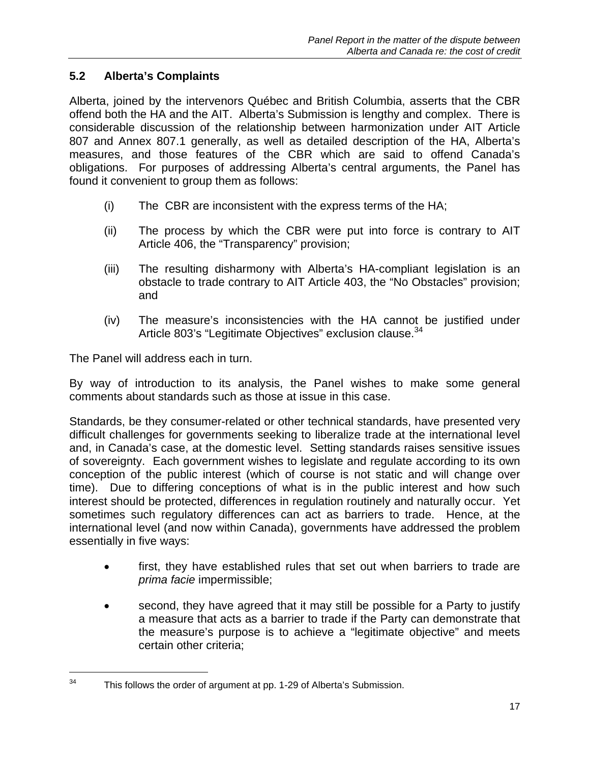#### **5.2 Alberta's Complaints**

Alberta, joined by the intervenors Québec and British Columbia, asserts that the CBR offend both the HA and the AIT. Alberta's Submission is lengthy and complex. There is considerable discussion of the relationship between harmonization under AIT Article 807 and Annex 807.1 generally, as well as detailed description of the HA, Alberta's measures, and those features of the CBR which are said to offend Canada's obligations. For purposes of addressing Alberta's central arguments, the Panel has found it convenient to group them as follows:

- (i) The CBR are inconsistent with the express terms of the HA;
- (ii) The process by which the CBR were put into force is contrary to AIT Article 406, the "Transparency" provision;
- (iii) The resulting disharmony with Alberta's HA-compliant legislation is an obstacle to trade contrary to AIT Article 403, the "No Obstacles" provision; and
- (iv) The measure's inconsistencies with the HA cannot be justified under Article 803's "Legitimate Objectives" exclusion clause.<sup>34</sup>

The Panel will address each in turn.

l

By way of introduction to its analysis, the Panel wishes to make some general comments about standards such as those at issue in this case.

Standards, be they consumer-related or other technical standards, have presented very difficult challenges for governments seeking to liberalize trade at the international level and, in Canada's case, at the domestic level. Setting standards raises sensitive issues of sovereignty. Each government wishes to legislate and regulate according to its own conception of the public interest (which of course is not static and will change over time). Due to differing conceptions of what is in the public interest and how such interest should be protected, differences in regulation routinely and naturally occur. Yet sometimes such regulatory differences can act as barriers to trade. Hence, at the international level (and now within Canada), governments have addressed the problem essentially in five ways:

- first, they have established rules that set out when barriers to trade are *prima facie* impermissible;
- second, they have agreed that it may still be possible for a Party to justify a measure that acts as a barrier to trade if the Party can demonstrate that the measure's purpose is to achieve a "legitimate objective" and meets certain other criteria;

 $34$  This follows the order of argument at pp. 1-29 of Alberta's Submission.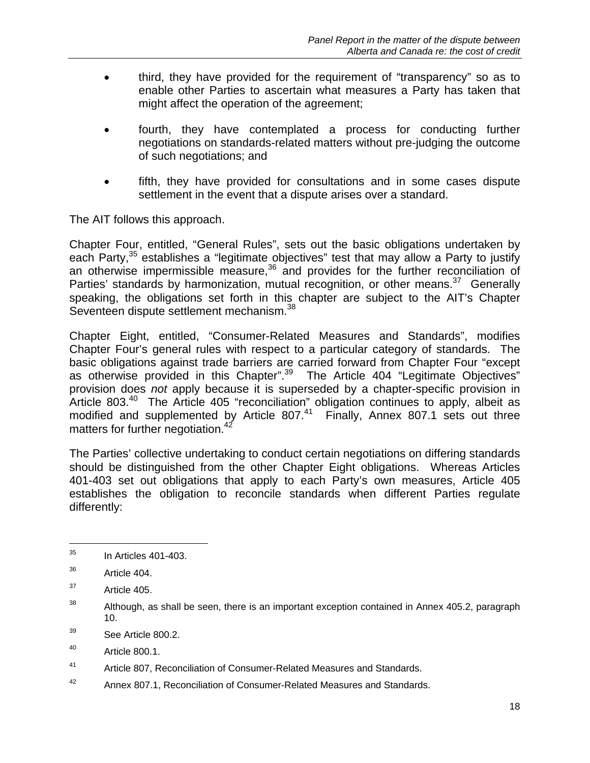- third, they have provided for the requirement of "transparency" so as to enable other Parties to ascertain what measures a Party has taken that might affect the operation of the agreement;
- fourth, they have contemplated a process for conducting further negotiations on standards-related matters without pre-judging the outcome of such negotiations; and
- fifth, they have provided for consultations and in some cases dispute settlement in the event that a dispute arises over a standard.

The AIT follows this approach.

Chapter Four, entitled, "General Rules", sets out the basic obligations undertaken by each Party, $35$  establishes a "legitimate objectives" test that may allow a Party to justify an otherwise impermissible measure,<sup>36</sup> and provides for the further reconciliation of Parties' standards by harmonization, mutual recognition, or other means. $37$  Generally speaking, the obligations set forth in this chapter are subject to the AIT's Chapter Seventeen dispute settlement mechanism.<sup>38</sup>

Chapter Eight, entitled, "Consumer-Related Measures and Standards", modifies Chapter Four's general rules with respect to a particular category of standards. The basic obligations against trade barriers are carried forward from Chapter Four "except as otherwise provided in this Chapter".<sup>39</sup> The Article 404 "Legitimate Objectives" provision does *not* apply because it is superseded by a chapter-specific provision in Article 803. $40$  The Article 405 "reconciliation" obligation continues to apply, albeit as modified and supplemented by Article 807. $41$  Finally, Annex 807.1 sets out three matters for further negotiation.<sup>42</sup>

The Parties' collective undertaking to conduct certain negotiations on differing standards should be distinguished from the other Chapter Eight obligations. Whereas Articles 401-403 set out obligations that apply to each Party's own measures, Article 405 establishes the obligation to reconcile standards when different Parties regulate differently:

l

42 Annex 807.1, Reconciliation of Consumer-Related Measures and Standards.

 $35$  In Articles 401-403.

<sup>36</sup> Article 404.

 $37$  Article 405.

 $38$  Although, as shall be seen, there is an important exception contained in Annex 405.2, paragraph 10.

<sup>39</sup> See Article 800.2.

 $^{40}$  Article 800.1.

<sup>41</sup> Article 807, Reconciliation of Consumer-Related Measures and Standards.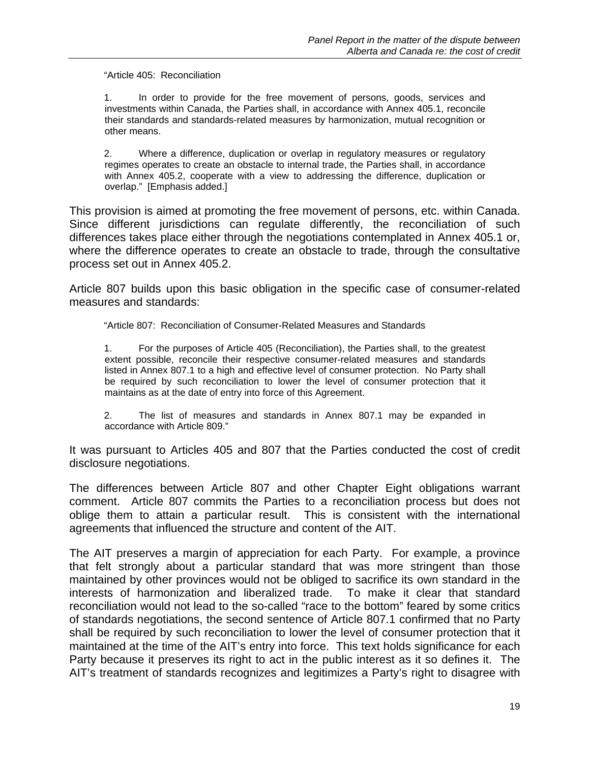"Article 405: Reconciliation

1. In order to provide for the free movement of persons, goods, services and investments within Canada, the Parties shall, in accordance with Annex 405.1, reconcile their standards and standards-related measures by harmonization, mutual recognition or other means.

2. Where a difference, duplication or overlap in regulatory measures or regulatory regimes operates to create an obstacle to internal trade, the Parties shall, in accordance with Annex 405.2, cooperate with a view to addressing the difference, duplication or overlap." [Emphasis added.]

This provision is aimed at promoting the free movement of persons, etc. within Canada. Since different jurisdictions can regulate differently, the reconciliation of such differences takes place either through the negotiations contemplated in Annex 405.1 or, where the difference operates to create an obstacle to trade, through the consultative process set out in Annex 405.2.

Article 807 builds upon this basic obligation in the specific case of consumer-related measures and standards:

"Article 807: Reconciliation of Consumer-Related Measures and Standards

1. For the purposes of Article 405 (Reconciliation), the Parties shall, to the greatest extent possible, reconcile their respective consumer-related measures and standards listed in Annex 807.1 to a high and effective level of consumer protection. No Party shall be required by such reconciliation to lower the level of consumer protection that it maintains as at the date of entry into force of this Agreement.

2. The list of measures and standards in Annex 807.1 may be expanded in accordance with Article 809."

It was pursuant to Articles 405 and 807 that the Parties conducted the cost of credit disclosure negotiations.

The differences between Article 807 and other Chapter Eight obligations warrant comment. Article 807 commits the Parties to a reconciliation process but does not oblige them to attain a particular result. This is consistent with the international agreements that influenced the structure and content of the AIT.

The AIT preserves a margin of appreciation for each Party. For example, a province that felt strongly about a particular standard that was more stringent than those maintained by other provinces would not be obliged to sacrifice its own standard in the interests of harmonization and liberalized trade. To make it clear that standard reconciliation would not lead to the so-called "race to the bottom" feared by some critics of standards negotiations, the second sentence of Article 807.1 confirmed that no Party shall be required by such reconciliation to lower the level of consumer protection that it maintained at the time of the AIT's entry into force. This text holds significance for each Party because it preserves its right to act in the public interest as it so defines it. The AIT's treatment of standards recognizes and legitimizes a Party's right to disagree with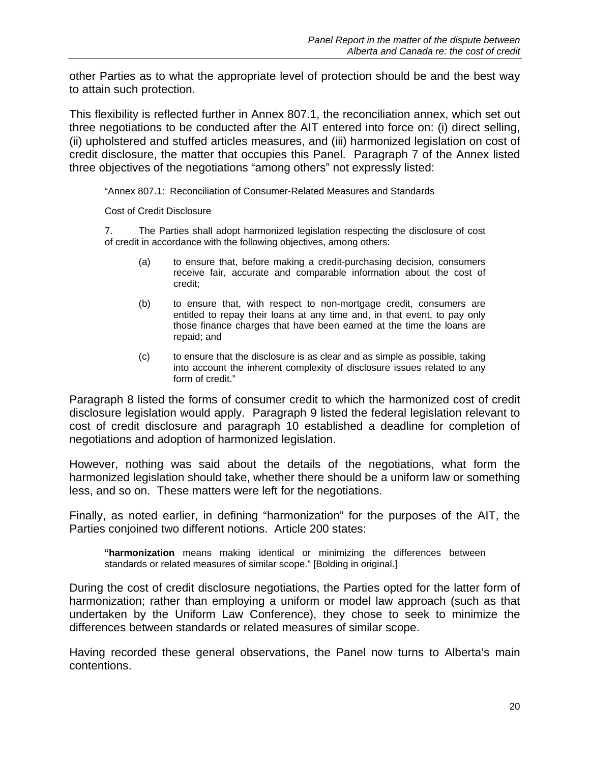other Parties as to what the appropriate level of protection should be and the best way to attain such protection.

This flexibility is reflected further in Annex 807.1, the reconciliation annex, which set out three negotiations to be conducted after the AIT entered into force on: (i) direct selling, (ii) upholstered and stuffed articles measures, and (iii) harmonized legislation on cost of credit disclosure, the matter that occupies this Panel. Paragraph 7 of the Annex listed three objectives of the negotiations "among others" not expressly listed:

"Annex 807.1: Reconciliation of Consumer-Related Measures and Standards

Cost of Credit Disclosure

7. The Parties shall adopt harmonized legislation respecting the disclosure of cost of credit in accordance with the following objectives, among others:

- (a) to ensure that, before making a credit-purchasing decision, consumers receive fair, accurate and comparable information about the cost of credit;
- (b) to ensure that, with respect to non-mortgage credit, consumers are entitled to repay their loans at any time and, in that event, to pay only those finance charges that have been earned at the time the loans are repaid; and
- (c) to ensure that the disclosure is as clear and as simple as possible, taking into account the inherent complexity of disclosure issues related to any form of credit."

Paragraph 8 listed the forms of consumer credit to which the harmonized cost of credit disclosure legislation would apply. Paragraph 9 listed the federal legislation relevant to cost of credit disclosure and paragraph 10 established a deadline for completion of negotiations and adoption of harmonized legislation.

However, nothing was said about the details of the negotiations, what form the harmonized legislation should take, whether there should be a uniform law or something less, and so on. These matters were left for the negotiations.

Finally, as noted earlier, in defining "harmonization" for the purposes of the AIT, the Parties conjoined two different notions. Article 200 states:

**"harmonization** means making identical or minimizing the differences between standards or related measures of similar scope." [Bolding in original.]

During the cost of credit disclosure negotiations, the Parties opted for the latter form of harmonization; rather than employing a uniform or model law approach (such as that undertaken by the Uniform Law Conference), they chose to seek to minimize the differences between standards or related measures of similar scope.

Having recorded these general observations, the Panel now turns to Alberta's main contentions.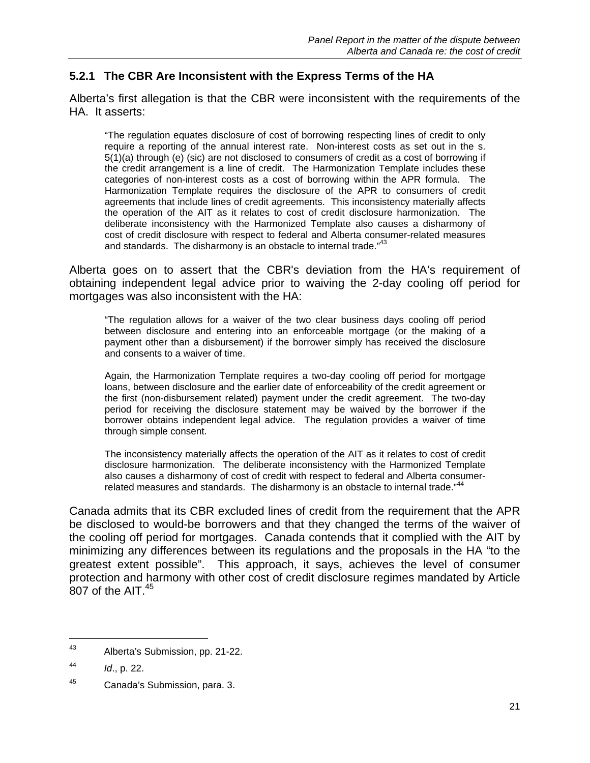#### **5.2.1 The CBR Are Inconsistent with the Express Terms of the HA**

Alberta's first allegation is that the CBR were inconsistent with the requirements of the HA. It asserts:

"The regulation equates disclosure of cost of borrowing respecting lines of credit to only require a reporting of the annual interest rate. Non-interest costs as set out in the s. 5(1)(a) through (e) (sic) are not disclosed to consumers of credit as a cost of borrowing if the credit arrangement is a line of credit. The Harmonization Template includes these categories of non-interest costs as a cost of borrowing within the APR formula. The Harmonization Template requires the disclosure of the APR to consumers of credit agreements that include lines of credit agreements. This inconsistency materially affects the operation of the AIT as it relates to cost of credit disclosure harmonization. The deliberate inconsistency with the Harmonized Template also causes a disharmony of cost of credit disclosure with respect to federal and Alberta consumer-related measures and standards. The disharmony is an obstacle to internal trade."<sup>43</sup>

Alberta goes on to assert that the CBR's deviation from the HA's requirement of obtaining independent legal advice prior to waiving the 2-day cooling off period for mortgages was also inconsistent with the HA:

"The regulation allows for a waiver of the two clear business days cooling off period between disclosure and entering into an enforceable mortgage (or the making of a payment other than a disbursement) if the borrower simply has received the disclosure and consents to a waiver of time.

Again, the Harmonization Template requires a two-day cooling off period for mortgage loans, between disclosure and the earlier date of enforceability of the credit agreement or the first (non-disbursement related) payment under the credit agreement. The two-day period for receiving the disclosure statement may be waived by the borrower if the borrower obtains independent legal advice. The regulation provides a waiver of time through simple consent.

The inconsistency materially affects the operation of the AIT as it relates to cost of credit disclosure harmonization. The deliberate inconsistency with the Harmonized Template also causes a disharmony of cost of credit with respect to federal and Alberta consumerrelated measures and standards. The disharmony is an obstacle to internal trade."<sup>44</sup>

Canada admits that its CBR excluded lines of credit from the requirement that the APR be disclosed to would-be borrowers and that they changed the terms of the waiver of the cooling off period for mortgages. Canada contends that it complied with the AIT by minimizing any differences between its regulations and the proposals in the HA "to the greatest extent possible". This approach, it says, achieves the level of consumer protection and harmony with other cost of credit disclosure regimes mandated by Article  $807$  of the AIT. $45$ 

<sup>43</sup> Alberta's Submission, pp. 21-22.

<sup>44</sup> *Id*., p. 22.

<sup>45</sup> Canada's Submission, para. 3.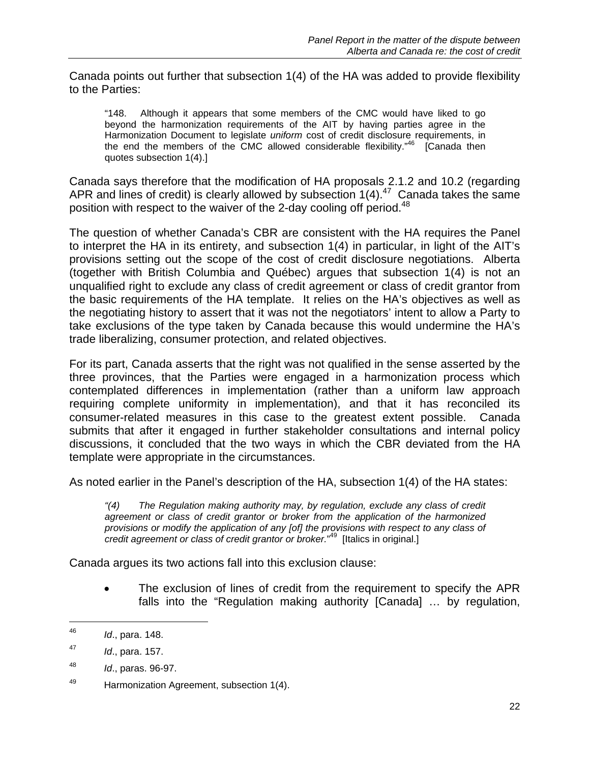Canada points out further that subsection 1(4) of the HA was added to provide flexibility to the Parties:

"148. Although it appears that some members of the CMC would have liked to go beyond the harmonization requirements of the AIT by having parties agree in the Harmonization Document to legislate *uniform* cost of credit disclosure requirements, in the end the members of the CMC allowed considerable flexibility."<sup>46</sup> [Canada then quotes subsection 1(4).]

Canada says therefore that the modification of HA proposals 2.1.2 and 10.2 (regarding APR and lines of credit) is clearly allowed by subsection 1(4).<sup>47</sup> Canada takes the same position with respect to the waiver of the 2-day cooling off period.<sup>48</sup>

The question of whether Canada's CBR are consistent with the HA requires the Panel to interpret the HA in its entirety, and subsection 1(4) in particular, in light of the AIT's provisions setting out the scope of the cost of credit disclosure negotiations. Alberta (together with British Columbia and Québec) argues that subsection 1(4) is not an unqualified right to exclude any class of credit agreement or class of credit grantor from the basic requirements of the HA template. It relies on the HA's objectives as well as the negotiating history to assert that it was not the negotiators' intent to allow a Party to take exclusions of the type taken by Canada because this would undermine the HA's trade liberalizing, consumer protection, and related objectives.

For its part, Canada asserts that the right was not qualified in the sense asserted by the three provinces, that the Parties were engaged in a harmonization process which contemplated differences in implementation (rather than a uniform law approach requiring complete uniformity in implementation), and that it has reconciled its consumer-related measures in this case to the greatest extent possible. Canada submits that after it engaged in further stakeholder consultations and internal policy discussions, it concluded that the two ways in which the CBR deviated from the HA template were appropriate in the circumstances.

As noted earlier in the Panel's description of the HA, subsection 1(4) of the HA states:

*"(4) The Regulation making authority may, by regulation, exclude any class of credit agreement or class of credit grantor or broker from the application of the harmonized provisions or modify the application of any [of] the provisions with respect to any class of credit agreement or class of credit grantor or broker.*" 49 [Italics in original.]

Canada argues its two actions fall into this exclusion clause:

• The exclusion of lines of credit from the requirement to specify the APR falls into the "Regulation making authority [Canada] … by regulation,

<sup>46</sup> *Id*., para. 148.

<sup>47</sup> *Id*., para. 157.

<sup>48</sup> *Id*., paras. 96-97.

<sup>49</sup> Harmonization Agreement, subsection 1(4).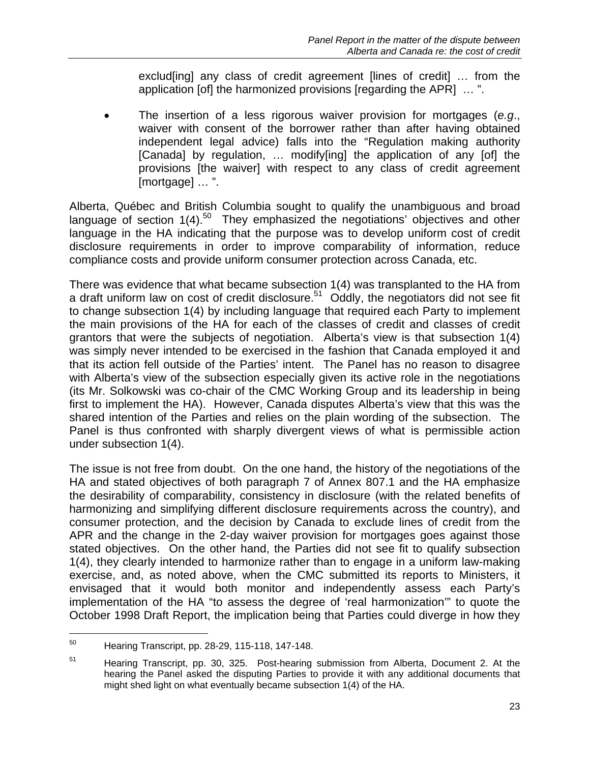exclud[ing] any class of credit agreement [lines of credit] … from the application [of] the harmonized provisions [regarding the APR] … ".

• The insertion of a less rigorous waiver provision for mortgages (*e.g*., waiver with consent of the borrower rather than after having obtained independent legal advice) falls into the "Regulation making authority [Canada] by regulation, ... modify[ing] the application of any [of] the provisions [the waiver] with respect to any class of credit agreement [mortgage] … ".

Alberta, Québec and British Columbia sought to qualify the unambiguous and broad language of section 1(4).<sup>50</sup> They emphasized the negotiations' objectives and other language in the HA indicating that the purpose was to develop uniform cost of credit disclosure requirements in order to improve comparability of information, reduce compliance costs and provide uniform consumer protection across Canada, etc.

There was evidence that what became subsection 1(4) was transplanted to the HA from a draft uniform law on cost of credit disclosure.<sup>51</sup> Oddly, the negotiators did not see fit to change subsection 1(4) by including language that required each Party to implement the main provisions of the HA for each of the classes of credit and classes of credit grantors that were the subjects of negotiation. Alberta's view is that subsection 1(4) was simply never intended to be exercised in the fashion that Canada employed it and that its action fell outside of the Parties' intent. The Panel has no reason to disagree with Alberta's view of the subsection especially given its active role in the negotiations (its Mr. Solkowski was co-chair of the CMC Working Group and its leadership in being first to implement the HA). However, Canada disputes Alberta's view that this was the shared intention of the Parties and relies on the plain wording of the subsection. The Panel is thus confronted with sharply divergent views of what is permissible action under subsection 1(4).

The issue is not free from doubt. On the one hand, the history of the negotiations of the HA and stated objectives of both paragraph 7 of Annex 807.1 and the HA emphasize the desirability of comparability, consistency in disclosure (with the related benefits of harmonizing and simplifying different disclosure requirements across the country), and consumer protection, and the decision by Canada to exclude lines of credit from the APR and the change in the 2-day waiver provision for mortgages goes against those stated objectives. On the other hand, the Parties did not see fit to qualify subsection 1(4), they clearly intended to harmonize rather than to engage in a uniform law-making exercise, and, as noted above, when the CMC submitted its reports to Ministers, it envisaged that it would both monitor and independently assess each Party's implementation of the HA "to assess the degree of 'real harmonization'" to quote the October 1998 Draft Report, the implication being that Parties could diverge in how they

<sup>50</sup> Hearing Transcript, pp. 28-29, 115-118, 147-148.

<sup>&</sup>lt;sup>51</sup> Hearing Transcript, pp. 30, 325. Post-hearing submission from Alberta, Document 2. At the hearing the Panel asked the disputing Parties to provide it with any additional documents that might shed light on what eventually became subsection 1(4) of the HA.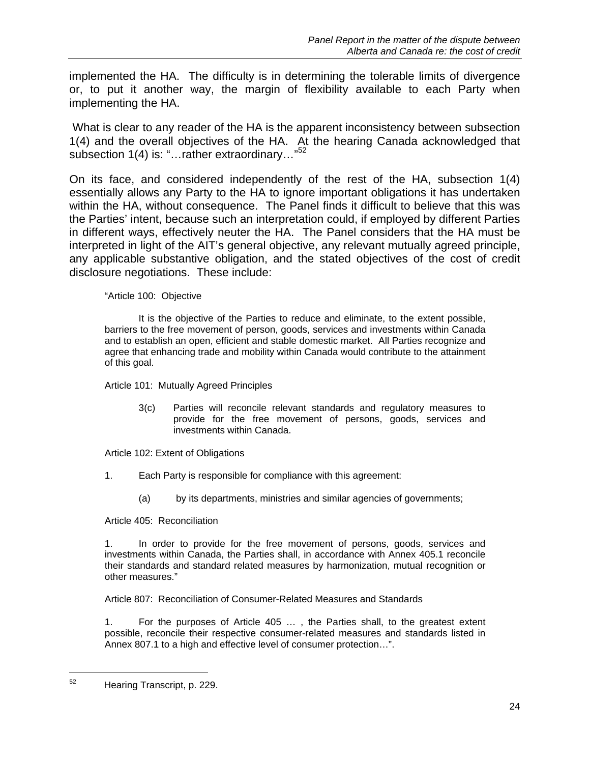implemented the HA. The difficulty is in determining the tolerable limits of divergence or, to put it another way, the margin of flexibility available to each Party when implementing the HA.

 What is clear to any reader of the HA is the apparent inconsistency between subsection 1(4) and the overall objectives of the HA. At the hearing Canada acknowledged that subsection 1(4) is: "...rather extraordinary..."<sup>52</sup>

On its face, and considered independently of the rest of the HA, subsection 1(4) essentially allows any Party to the HA to ignore important obligations it has undertaken within the HA, without consequence. The Panel finds it difficult to believe that this was the Parties' intent, because such an interpretation could, if employed by different Parties in different ways, effectively neuter the HA. The Panel considers that the HA must be interpreted in light of the AIT's general objective, any relevant mutually agreed principle, any applicable substantive obligation, and the stated objectives of the cost of credit disclosure negotiations. These include:

"Article 100: Objective

 It is the objective of the Parties to reduce and eliminate, to the extent possible, barriers to the free movement of person, goods, services and investments within Canada and to establish an open, efficient and stable domestic market. All Parties recognize and agree that enhancing trade and mobility within Canada would contribute to the attainment of this goal.

Article 101: Mutually Agreed Principles

3(c) Parties will reconcile relevant standards and regulatory measures to provide for the free movement of persons, goods, services and investments within Canada.

Article 102: Extent of Obligations

- 1. Each Party is responsible for compliance with this agreement:
	- (a) by its departments, ministries and similar agencies of governments;

Article 405: Reconciliation

1. In order to provide for the free movement of persons, goods, services and investments within Canada, the Parties shall, in accordance with Annex 405.1 reconcile their standards and standard related measures by harmonization, mutual recognition or other measures."

Article 807: Reconciliation of Consumer-Related Measures and Standards

1. For the purposes of Article 405 … , the Parties shall, to the greatest extent possible, reconcile their respective consumer-related measures and standards listed in Annex 807.1 to a high and effective level of consumer protection…".

1

<sup>52</sup> Hearing Transcript, p. 229.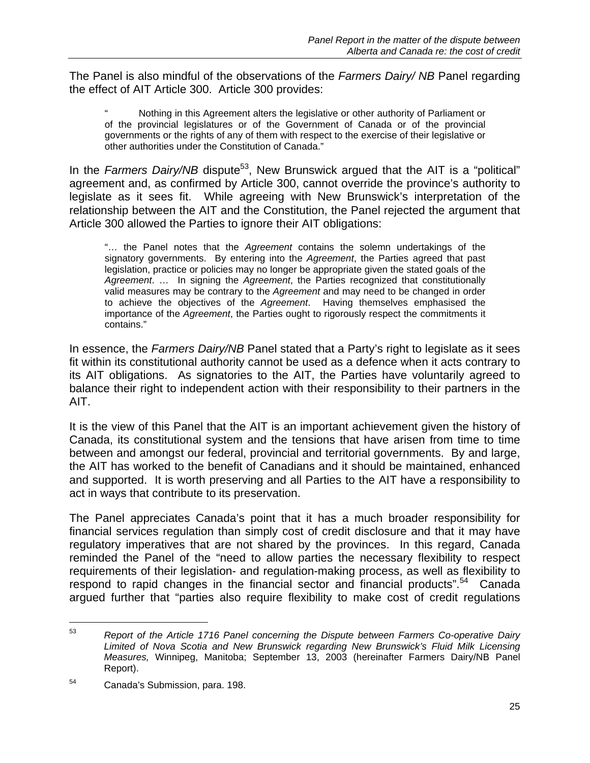The Panel is also mindful of the observations of the *Farmers Dairy/ NB* Panel regarding the effect of AIT Article 300. Article 300 provides:

" Nothing in this Agreement alters the legislative or other authority of Parliament or of the provincial legislatures or of the Government of Canada or of the provincial governments or the rights of any of them with respect to the exercise of their legislative or other authorities under the Constitution of Canada."

In the *Farmers Dairy/NB* dispute<sup>53</sup>, New Brunswick argued that the AIT is a "political" agreement and, as confirmed by Article 300, cannot override the province's authority to legislate as it sees fit. While agreeing with New Brunswick's interpretation of the relationship between the AIT and the Constitution, the Panel rejected the argument that Article 300 allowed the Parties to ignore their AIT obligations:

"… the Panel notes that the *Agreement* contains the solemn undertakings of the signatory governments. By entering into the *Agreement*, the Parties agreed that past legislation, practice or policies may no longer be appropriate given the stated goals of the *Agreement*. … In signing the *Agreement*, the Parties recognized that constitutionally valid measures may be contrary to the *Agreement* and may need to be changed in order to achieve the objectives of the *Agreement*. Having themselves emphasised the importance of the *Agreement*, the Parties ought to rigorously respect the commitments it contains."

In essence, the *Farmers Dairy/NB* Panel stated that a Party's right to legislate as it sees fit within its constitutional authority cannot be used as a defence when it acts contrary to its AIT obligations. As signatories to the AIT, the Parties have voluntarily agreed to balance their right to independent action with their responsibility to their partners in the AIT.

It is the view of this Panel that the AIT is an important achievement given the history of Canada, its constitutional system and the tensions that have arisen from time to time between and amongst our federal, provincial and territorial governments. By and large, the AIT has worked to the benefit of Canadians and it should be maintained, enhanced and supported. It is worth preserving and all Parties to the AIT have a responsibility to act in ways that contribute to its preservation.

The Panel appreciates Canada's point that it has a much broader responsibility for financial services regulation than simply cost of credit disclosure and that it may have regulatory imperatives that are not shared by the provinces. In this regard, Canada reminded the Panel of the "need to allow parties the necessary flexibility to respect requirements of their legislation- and regulation-making process, as well as flexibility to respond to rapid changes in the financial sector and financial products".<sup>54</sup> Canada argued further that "parties also require flexibility to make cost of credit regulations

<sup>53</sup> *Report of the Article 1716 Panel concerning the Dispute between Farmers Co-operative Dairy Limited of Nova Scotia and New Brunswick regarding New Brunswick's Fluid Milk Licensing Measures,* Winnipeg, Manitoba; September 13, 2003 (hereinafter Farmers Dairy/NB Panel Report).

<sup>54</sup> Canada's Submission, para. 198.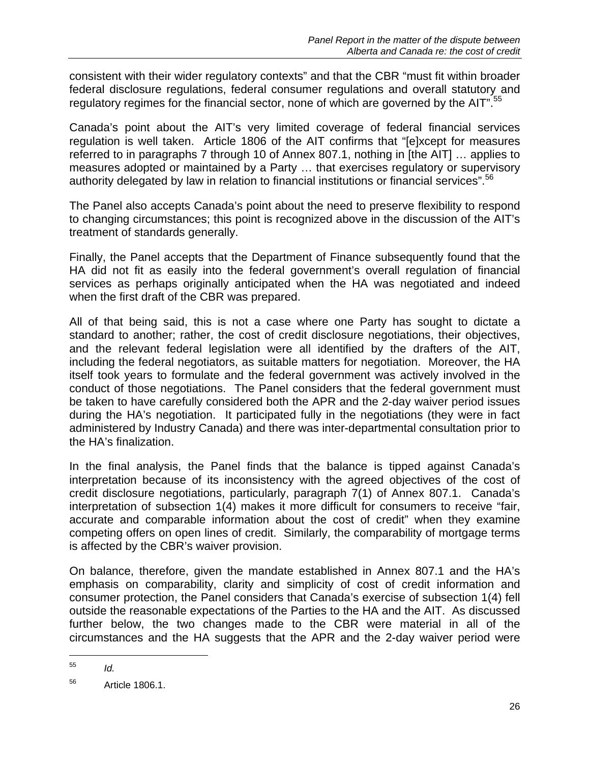consistent with their wider regulatory contexts" and that the CBR "must fit within broader federal disclosure regulations, federal consumer regulations and overall statutory and regulatory regimes for the financial sector, none of which are governed by the AIT".<sup>55</sup>

Canada's point about the AIT's very limited coverage of federal financial services regulation is well taken. Article 1806 of the AIT confirms that "[e]xcept for measures referred to in paragraphs 7 through 10 of Annex 807.1, nothing in [the AIT] … applies to measures adopted or maintained by a Party … that exercises regulatory or supervisory authority delegated by law in relation to financial institutions or financial services".<sup>56</sup>

The Panel also accepts Canada's point about the need to preserve flexibility to respond to changing circumstances; this point is recognized above in the discussion of the AIT's treatment of standards generally.

Finally, the Panel accepts that the Department of Finance subsequently found that the HA did not fit as easily into the federal government's overall regulation of financial services as perhaps originally anticipated when the HA was negotiated and indeed when the first draft of the CBR was prepared.

All of that being said, this is not a case where one Party has sought to dictate a standard to another; rather, the cost of credit disclosure negotiations, their objectives, and the relevant federal legislation were all identified by the drafters of the AIT, including the federal negotiators, as suitable matters for negotiation. Moreover, the HA itself took years to formulate and the federal government was actively involved in the conduct of those negotiations. The Panel considers that the federal government must be taken to have carefully considered both the APR and the 2-day waiver period issues during the HA's negotiation. It participated fully in the negotiations (they were in fact administered by Industry Canada) and there was inter-departmental consultation prior to the HA's finalization.

In the final analysis, the Panel finds that the balance is tipped against Canada's interpretation because of its inconsistency with the agreed objectives of the cost of credit disclosure negotiations, particularly, paragraph 7(1) of Annex 807.1. Canada's interpretation of subsection 1(4) makes it more difficult for consumers to receive "fair, accurate and comparable information about the cost of credit" when they examine competing offers on open lines of credit. Similarly, the comparability of mortgage terms is affected by the CBR's waiver provision.

On balance, therefore, given the mandate established in Annex 807.1 and the HA's emphasis on comparability, clarity and simplicity of cost of credit information and consumer protection, the Panel considers that Canada's exercise of subsection 1(4) fell outside the reasonable expectations of the Parties to the HA and the AIT. As discussed further below, the two changes made to the CBR were material in all of the circumstances and the HA suggests that the APR and the 2-day waiver period were

<sup>55</sup> *Id.*

<sup>56</sup> Article 1806.1.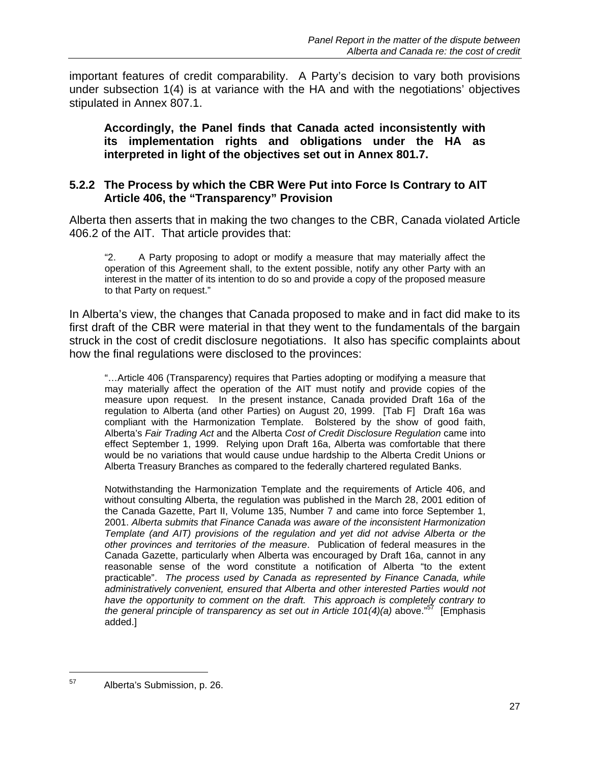important features of credit comparability. A Party's decision to vary both provisions under subsection 1(4) is at variance with the HA and with the negotiations' objectives stipulated in Annex 807.1.

**Accordingly, the Panel finds that Canada acted inconsistently with its implementation rights and obligations under the HA as interpreted in light of the objectives set out in Annex 801.7.** 

#### **5.2.2 The Process by which the CBR Were Put into Force Is Contrary to AIT Article 406, the "Transparency" Provision**

Alberta then asserts that in making the two changes to the CBR, Canada violated Article 406.2 of the AIT. That article provides that:

"2. A Party proposing to adopt or modify a measure that may materially affect the operation of this Agreement shall, to the extent possible, notify any other Party with an interest in the matter of its intention to do so and provide a copy of the proposed measure to that Party on request."

In Alberta's view, the changes that Canada proposed to make and in fact did make to its first draft of the CBR were material in that they went to the fundamentals of the bargain struck in the cost of credit disclosure negotiations. It also has specific complaints about how the final regulations were disclosed to the provinces:

"…Article 406 (Transparency) requires that Parties adopting or modifying a measure that may materially affect the operation of the AIT must notify and provide copies of the measure upon request. In the present instance, Canada provided Draft 16a of the regulation to Alberta (and other Parties) on August 20, 1999. [Tab F] Draft 16a was compliant with the Harmonization Template. Bolstered by the show of good faith, Alberta's *Fair Trading Act* and the Alberta *Cost of Credit Disclosure Regulation* came into effect September 1, 1999. Relying upon Draft 16a, Alberta was comfortable that there would be no variations that would cause undue hardship to the Alberta Credit Unions or Alberta Treasury Branches as compared to the federally chartered regulated Banks.

Notwithstanding the Harmonization Template and the requirements of Article 406, and without consulting Alberta, the regulation was published in the March 28, 2001 edition of the Canada Gazette, Part II, Volume 135, Number 7 and came into force September 1, 2001. *Alberta submits that Finance Canada was aware of the inconsistent Harmonization Template (and AIT) provisions of the regulation and yet did not advise Alberta or the other provinces and territories of the measure*. Publication of federal measures in the Canada Gazette, particularly when Alberta was encouraged by Draft 16a, cannot in any reasonable sense of the word constitute a notification of Alberta "to the extent practicable". *The process used by Canada as represented by Finance Canada, while administratively convenient, ensured that Alberta and other interested Parties would not have the opportunity to comment on the draft. This approach is completely contrary to the general principle of transparency as set out in Article 101(4)(a)* above."57 [Emphasis added.]

<sup>57</sup> Alberta's Submission, p. 26.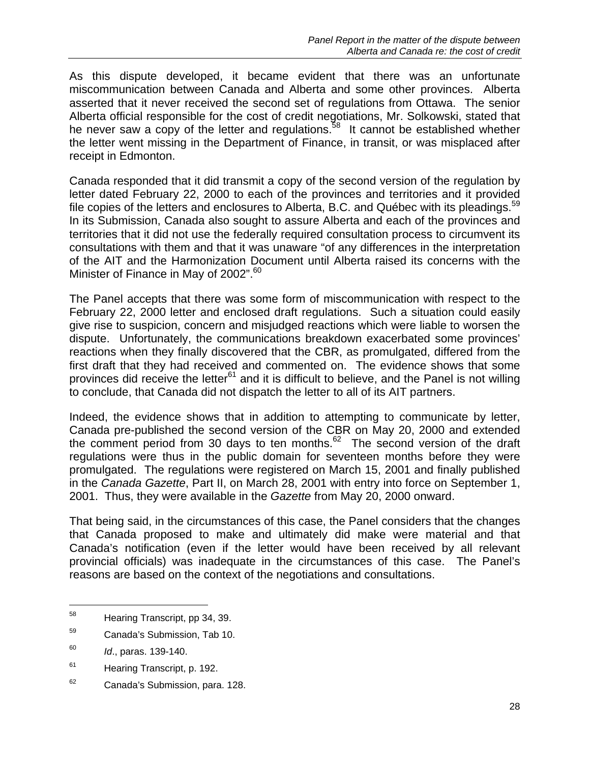As this dispute developed, it became evident that there was an unfortunate miscommunication between Canada and Alberta and some other provinces. Alberta asserted that it never received the second set of regulations from Ottawa. The senior Alberta official responsible for the cost of credit negotiations, Mr. Solkowski, stated that he never saw a copy of the letter and regulations.<sup>58</sup> It cannot be established whether the letter went missing in the Department of Finance, in transit, or was misplaced after receipt in Edmonton.

Canada responded that it did transmit a copy of the second version of the regulation by letter dated February 22, 2000 to each of the provinces and territories and it provided file copies of the letters and enclosures to Alberta, B.C. and Québec with its pleadings.<sup>59</sup> In its Submission, Canada also sought to assure Alberta and each of the provinces and territories that it did not use the federally required consultation process to circumvent its consultations with them and that it was unaware "of any differences in the interpretation of the AIT and the Harmonization Document until Alberta raised its concerns with the Minister of Finance in May of 2002".<sup>60</sup>

The Panel accepts that there was some form of miscommunication with respect to the February 22, 2000 letter and enclosed draft regulations. Such a situation could easily give rise to suspicion, concern and misjudged reactions which were liable to worsen the dispute. Unfortunately, the communications breakdown exacerbated some provinces' reactions when they finally discovered that the CBR, as promulgated, differed from the first draft that they had received and commented on. The evidence shows that some provinces did receive the letter<sup>61</sup> and it is difficult to believe, and the Panel is not willing to conclude, that Canada did not dispatch the letter to all of its AIT partners.

Indeed, the evidence shows that in addition to attempting to communicate by letter, Canada pre-published the second version of the CBR on May 20, 2000 and extended the comment period from 30 days to ten months.<sup>62</sup> The second version of the draft regulations were thus in the public domain for seventeen months before they were promulgated. The regulations were registered on March 15, 2001 and finally published in the *Canada Gazette*, Part II, on March 28, 2001 with entry into force on September 1, 2001. Thus, they were available in the *Gazette* from May 20, 2000 onward.

That being said, in the circumstances of this case, the Panel considers that the changes that Canada proposed to make and ultimately did make were material and that Canada's notification (even if the letter would have been received by all relevant provincial officials) was inadequate in the circumstances of this case. The Panel's reasons are based on the context of the negotiations and consultations.

<sup>58</sup> Hearing Transcript, pp 34, 39.

<sup>59</sup> Canada's Submission, Tab 10.

<sup>60</sup> *Id*., paras. 139-140.

<sup>&</sup>lt;sup>61</sup> Hearing Transcript, p. 192.

<sup>62</sup> Canada's Submission, para. 128.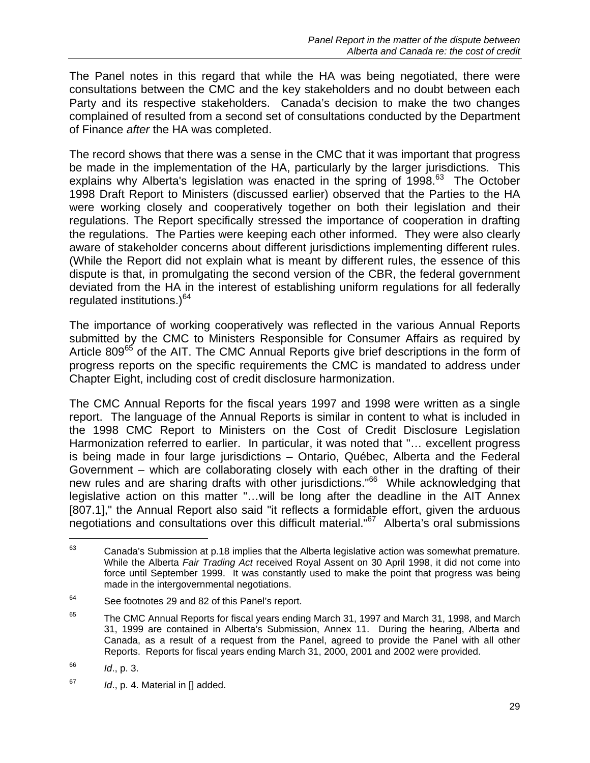The Panel notes in this regard that while the HA was being negotiated, there were consultations between the CMC and the key stakeholders and no doubt between each Party and its respective stakeholders. Canada's decision to make the two changes complained of resulted from a second set of consultations conducted by the Department of Finance *after* the HA was completed.

The record shows that there was a sense in the CMC that it was important that progress be made in the implementation of the HA, particularly by the larger jurisdictions. This explains why Alberta's legislation was enacted in the spring of  $1998<sup>63</sup>$  The October 1998 Draft Report to Ministers (discussed earlier) observed that the Parties to the HA were working closely and cooperatively together on both their legislation and their regulations. The Report specifically stressed the importance of cooperation in drafting the regulations. The Parties were keeping each other informed. They were also clearly aware of stakeholder concerns about different jurisdictions implementing different rules. (While the Report did not explain what is meant by different rules, the essence of this dispute is that, in promulgating the second version of the CBR, the federal government deviated from the HA in the interest of establishing uniform regulations for all federally regulated institutions.)<sup>64</sup>

The importance of working cooperatively was reflected in the various Annual Reports submitted by the CMC to Ministers Responsible for Consumer Affairs as required by Article 809<sup>65</sup> of the AIT. The CMC Annual Reports give brief descriptions in the form of progress reports on the specific requirements the CMC is mandated to address under Chapter Eight, including cost of credit disclosure harmonization.

The CMC Annual Reports for the fiscal years 1997 and 1998 were written as a single report. The language of the Annual Reports is similar in content to what is included in the 1998 CMC Report to Ministers on the Cost of Credit Disclosure Legislation Harmonization referred to earlier. In particular, it was noted that "… excellent progress is being made in four large jurisdictions – Ontario, Québec, Alberta and the Federal Government – which are collaborating closely with each other in the drafting of their new rules and are sharing drafts with other jurisdictions."<sup>66</sup> While acknowledging that legislative action on this matter "…will be long after the deadline in the AIT Annex [807.1]," the Annual Report also said "it reflects a formidable effort, given the arduous negotiations and consultations over this difficult material."<sup>67</sup> Alberta's oral submissions

 $63$  Canada's Submission at p.18 implies that the Alberta legislative action was somewhat premature. While the Alberta *Fair Trading Act* received Royal Assent on 30 April 1998, it did not come into force until September 1999. It was constantly used to make the point that progress was being made in the intergovernmental negotiations.

<sup>64</sup> See footnotes 29 and 82 of this Panel's report.

 $65$  The CMC Annual Reports for fiscal years ending March 31, 1997 and March 31, 1998, and March 31, 1999 are contained in Alberta's Submission, Annex 11. During the hearing, Alberta and Canada, as a result of a request from the Panel, agreed to provide the Panel with all other Reports. Reports for fiscal years ending March 31, 2000, 2001 and 2002 were provided.

<sup>66</sup> *Id*., p. 3.

<sup>67</sup> *Id*., p. 4. Material in [] added.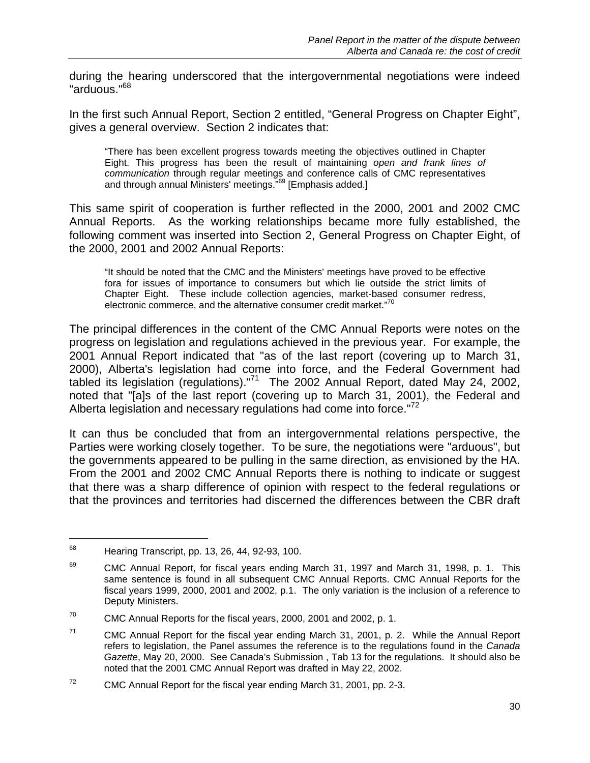during the hearing underscored that the intergovernmental negotiations were indeed "arduous."68

In the first such Annual Report, Section 2 entitled, "General Progress on Chapter Eight", gives a general overview. Section 2 indicates that:

"There has been excellent progress towards meeting the objectives outlined in Chapter Eight. This progress has been the result of maintaining *open and frank lines of communication* through regular meetings and conference calls of CMC representatives and through annual Ministers' meetings.<sup>769</sup> [Emphasis added.]

This same spirit of cooperation is further reflected in the 2000, 2001 and 2002 CMC Annual Reports. As the working relationships became more fully established, the following comment was inserted into Section 2, General Progress on Chapter Eight, of the 2000, 2001 and 2002 Annual Reports:

"It should be noted that the CMC and the Ministers' meetings have proved to be effective fora for issues of importance to consumers but which lie outside the strict limits of Chapter Eight. These include collection agencies, market-based consumer redress, electronic commerce, and the alternative consumer credit market."<sup>70</sup>

The principal differences in the content of the CMC Annual Reports were notes on the progress on legislation and regulations achieved in the previous year. For example, the 2001 Annual Report indicated that "as of the last report (covering up to March 31, 2000), Alberta's legislation had come into force, and the Federal Government had tabled its legislation (regulations)."<sup>71</sup> The 2002 Annual Report, dated May 24, 2002, noted that "[a]s of the last report (covering up to March 31, 2001), the Federal and Alberta legislation and necessary regulations had come into force."<sup>72</sup>

It can thus be concluded that from an intergovernmental relations perspective, the Parties were working closely together. To be sure, the negotiations were "arduous", but the governments appeared to be pulling in the same direction, as envisioned by the HA. From the 2001 and 2002 CMC Annual Reports there is nothing to indicate or suggest that there was a sharp difference of opinion with respect to the federal regulations or that the provinces and territories had discerned the differences between the CBR draft

<sup>&</sup>lt;sup>68</sup> Hearing Transcript, pp. 13, 26, 44, 92-93, 100.

 $69$  CMC Annual Report, for fiscal years ending March 31, 1997 and March 31, 1998, p. 1. This same sentence is found in all subsequent CMC Annual Reports. CMC Annual Reports for the fiscal years 1999, 2000, 2001 and 2002, p.1. The only variation is the inclusion of a reference to Deputy Ministers.

 $70$  CMC Annual Reports for the fiscal years, 2000, 2001 and 2002, p. 1.

 $71$  CMC Annual Report for the fiscal year ending March 31, 2001, p. 2. While the Annual Report refers to legislation, the Panel assumes the reference is to the regulations found in the *Canada Gazette*, May 20, 2000. See Canada's Submission , Tab 13 for the regulations. It should also be noted that the 2001 CMC Annual Report was drafted in May 22, 2002.

 $72$  CMC Annual Report for the fiscal year ending March 31, 2001, pp. 2-3.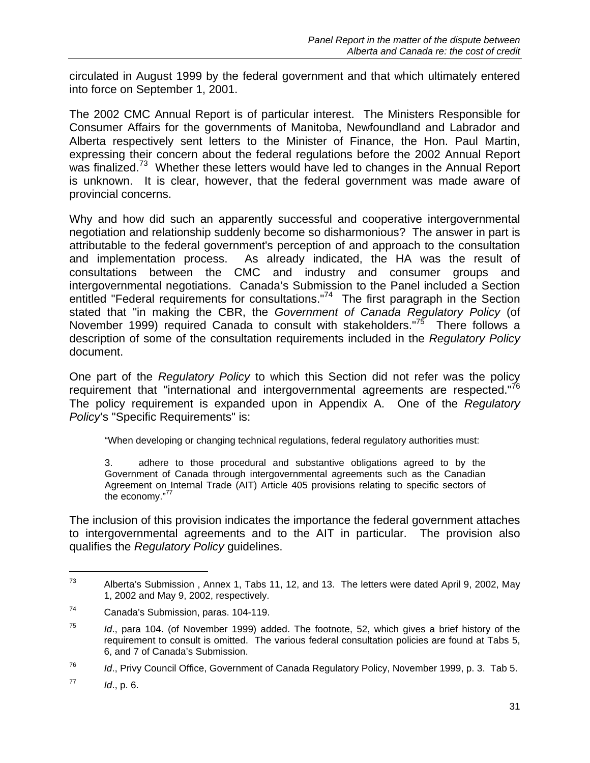circulated in August 1999 by the federal government and that which ultimately entered into force on September 1, 2001.

The 2002 CMC Annual Report is of particular interest. The Ministers Responsible for Consumer Affairs for the governments of Manitoba, Newfoundland and Labrador and Alberta respectively sent letters to the Minister of Finance, the Hon. Paul Martin, expressing their concern about the federal regulations before the 2002 Annual Report was finalized.<sup>73</sup> Whether these letters would have led to changes in the Annual Report is unknown. It is clear, however, that the federal government was made aware of provincial concerns.

Why and how did such an apparently successful and cooperative intergovernmental negotiation and relationship suddenly become so disharmonious? The answer in part is attributable to the federal government's perception of and approach to the consultation and implementation process. As already indicated, the HA was the result of consultations between the CMC and industry and consumer groups and intergovernmental negotiations. Canada's Submission to the Panel included a Section entitled "Federal requirements for consultations."<sup>74</sup> The first paragraph in the Section stated that "in making the CBR, the *Government of Canada Regulatory Policy* (of November 1999) required Canada to consult with stakeholders."<sup>75</sup> There follows a description of some of the consultation requirements included in the *Regulatory Policy* document.

One part of the *Regulatory Policy* to which this Section did not refer was the policy requirement that "international and intergovernmental agreements are respected."<sup>76</sup> The policy requirement is expanded upon in Appendix A. One of the *Regulatory Policy*'s "Specific Requirements" is:

"When developing or changing technical regulations, federal regulatory authorities must:

3. adhere to those procedural and substantive obligations agreed to by the Government of Canada through intergovernmental agreements such as the Canadian Agreement on Internal Trade (AIT) Article 405 provisions relating to specific sectors of the economy. $"$ 

The inclusion of this provision indicates the importance the federal government attaches to intergovernmental agreements and to the AIT in particular. The provision also qualifies the *Regulatory Policy* guidelines.

 $73$  Alberta's Submission, Annex 1, Tabs 11, 12, and 13. The letters were dated April 9, 2002, May 1, 2002 and May 9, 2002, respectively.

<sup>74</sup> Canada's Submission, paras. 104-119.

<sup>75</sup> *Id*., para 104. (of November 1999) added. The footnote, 52, which gives a brief history of the requirement to consult is omitted. The various federal consultation policies are found at Tabs 5, 6, and 7 of Canada's Submission.

<sup>76</sup> *Id*., Privy Council Office, Government of Canada Regulatory Policy, November 1999, p. 3. Tab 5.

 $^{77}$  *Id.*, p. 6.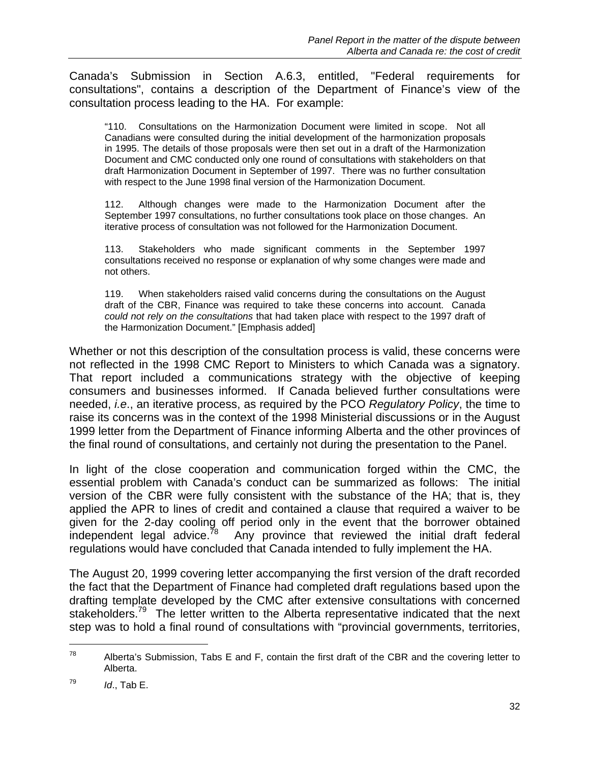Canada's Submission in Section A.6.3, entitled, "Federal requirements for consultations", contains a description of the Department of Finance's view of the consultation process leading to the HA. For example:

"110. Consultations on the Harmonization Document were limited in scope. Not all Canadians were consulted during the initial development of the harmonization proposals in 1995. The details of those proposals were then set out in a draft of the Harmonization Document and CMC conducted only one round of consultations with stakeholders on that draft Harmonization Document in September of 1997. There was no further consultation with respect to the June 1998 final version of the Harmonization Document.

112. Although changes were made to the Harmonization Document after the September 1997 consultations, no further consultations took place on those changes. An iterative process of consultation was not followed for the Harmonization Document.

113. Stakeholders who made significant comments in the September 1997 consultations received no response or explanation of why some changes were made and not others.

119. When stakeholders raised valid concerns during the consultations on the August draft of the CBR, Finance was required to take these concerns into account. Canada *could not rely on the consultations* that had taken place with respect to the 1997 draft of the Harmonization Document." [Emphasis added]

Whether or not this description of the consultation process is valid, these concerns were not reflected in the 1998 CMC Report to Ministers to which Canada was a signatory. That report included a communications strategy with the objective of keeping consumers and businesses informed. If Canada believed further consultations were needed, *i.e*., an iterative process, as required by the PCO *Regulatory Policy*, the time to raise its concerns was in the context of the 1998 Ministerial discussions or in the August 1999 letter from the Department of Finance informing Alberta and the other provinces of the final round of consultations, and certainly not during the presentation to the Panel.

In light of the close cooperation and communication forged within the CMC, the essential problem with Canada's conduct can be summarized as follows: The initial version of the CBR were fully consistent with the substance of the HA; that is, they applied the APR to lines of credit and contained a clause that required a waiver to be given for the 2-day cooling off period only in the event that the borrower obtained independent legal advice.<sup>78</sup> Any province that reviewed the initial draft federal regulations would have concluded that Canada intended to fully implement the HA.

The August 20, 1999 covering letter accompanying the first version of the draft recorded the fact that the Department of Finance had completed draft regulations based upon the drafting template developed by the CMC after extensive consultations with concerned stakeholders.<sup>79</sup> The letter written to the Alberta representative indicated that the next step was to hold a final round of consultations with "provincial governments, territories,

<sup>&</sup>lt;sup>78</sup> Alberta's Submission, Tabs E and F, contain the first draft of the CBR and the covering letter to Alberta.

 $^{79}$  *Id.*, Tab E.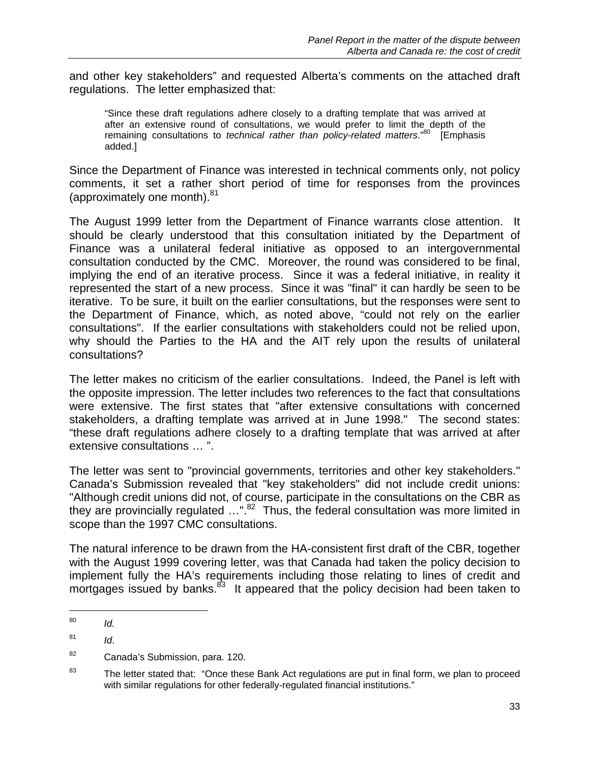and other key stakeholders" and requested Alberta's comments on the attached draft regulations. The letter emphasized that:

"Since these draft regulations adhere closely to a drafting template that was arrived at after an extensive round of consultations, we would prefer to limit the depth of the remaining consultations to *technical rather than policy-related matters*."80 [Emphasis added.]

Since the Department of Finance was interested in technical comments only, not policy comments, it set a rather short period of time for responses from the provinces (approximately one month). $81$ 

The August 1999 letter from the Department of Finance warrants close attention. It should be clearly understood that this consultation initiated by the Department of Finance was a unilateral federal initiative as opposed to an intergovernmental consultation conducted by the CMC. Moreover, the round was considered to be final, implying the end of an iterative process. Since it was a federal initiative, in reality it represented the start of a new process. Since it was "final" it can hardly be seen to be iterative. To be sure, it built on the earlier consultations, but the responses were sent to the Department of Finance, which, as noted above, "could not rely on the earlier consultations". If the earlier consultations with stakeholders could not be relied upon, why should the Parties to the HA and the AIT rely upon the results of unilateral consultations?

The letter makes no criticism of the earlier consultations. Indeed, the Panel is left with the opposite impression. The letter includes two references to the fact that consultations were extensive. The first states that "after extensive consultations with concerned stakeholders, a drafting template was arrived at in June 1998." The second states: "these draft regulations adhere closely to a drafting template that was arrived at after extensive consultations … ".

The letter was sent to "provincial governments, territories and other key stakeholders." Canada's Submission revealed that "key stakeholders" did not include credit unions: "Although credit unions did not, of course, participate in the consultations on the CBR as they are provincially regulated ...".<sup>82</sup> Thus, the federal consultation was more limited in scope than the 1997 CMC consultations.

The natural inference to be drawn from the HA-consistent first draft of the CBR, together with the August 1999 covering letter, was that Canada had taken the policy decision to implement fully the HA's requirements including those relating to lines of credit and mortgages issued by banks.<sup>83</sup> It appeared that the policy decision had been taken to

<sup>80</sup> *Id.*

 $^{81}$  *Id.* 

<sup>82</sup> Canada's Submission, para. 120.

<sup>&</sup>lt;sup>83</sup> The letter stated that: "Once these Bank Act regulations are put in final form, we plan to proceed with similar regulations for other federally-regulated financial institutions."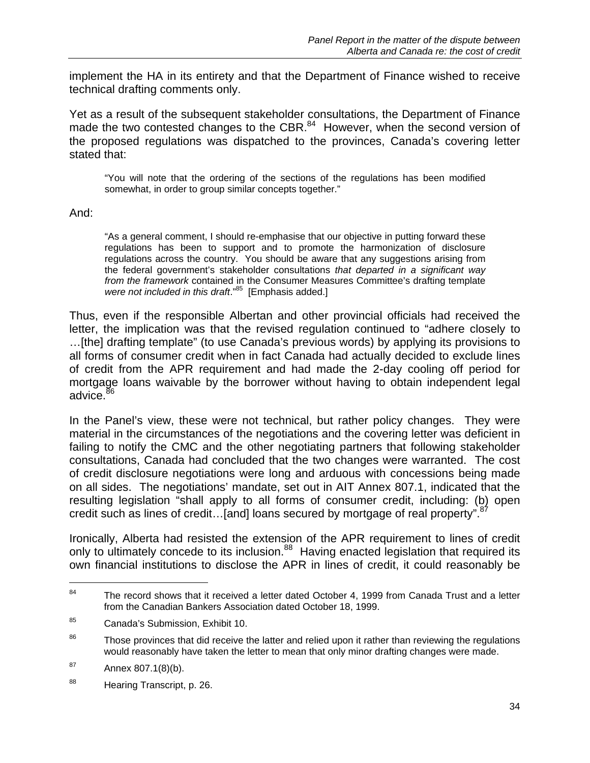implement the HA in its entirety and that the Department of Finance wished to receive technical drafting comments only.

Yet as a result of the subsequent stakeholder consultations, the Department of Finance made the two contested changes to the CBR. $84$  However, when the second version of the proposed regulations was dispatched to the provinces, Canada's covering letter stated that:

"You will note that the ordering of the sections of the regulations has been modified somewhat, in order to group similar concepts together."

And:

"As a general comment, I should re-emphasise that our objective in putting forward these regulations has been to support and to promote the harmonization of disclosure regulations across the country. You should be aware that any suggestions arising from the federal government's stakeholder consultations *that departed in a significant way from the framework* contained in the Consumer Measures Committee's drafting template *were not included in this draft*."85 [Emphasis added.]

Thus, even if the responsible Albertan and other provincial officials had received the letter, the implication was that the revised regulation continued to "adhere closely to …[the] drafting template" (to use Canada's previous words) by applying its provisions to all forms of consumer credit when in fact Canada had actually decided to exclude lines of credit from the APR requirement and had made the 2-day cooling off period for mortgage loans waivable by the borrower without having to obtain independent legal advice.<sup>86</sup>

In the Panel's view, these were not technical, but rather policy changes. They were material in the circumstances of the negotiations and the covering letter was deficient in failing to notify the CMC and the other negotiating partners that following stakeholder consultations, Canada had concluded that the two changes were warranted. The cost of credit disclosure negotiations were long and arduous with concessions being made on all sides. The negotiations' mandate, set out in AIT Annex 807.1, indicated that the resulting legislation "shall apply to all forms of consumer credit, including: (b) open credit such as lines of credit...[and] loans secured by mortgage of real property".<sup>87</sup>

Ironically, Alberta had resisted the extension of the APR requirement to lines of credit only to ultimately concede to its inclusion.<sup>88</sup> Having enacted legislation that required its own financial institutions to disclose the APR in lines of credit, it could reasonably be

 $84$  The record shows that it received a letter dated October 4, 1999 from Canada Trust and a letter from the Canadian Bankers Association dated October 18, 1999.

<sup>85</sup> Canada's Submission, Exhibit 10.

<sup>&</sup>lt;sup>86</sup> Those provinces that did receive the latter and relied upon it rather than reviewing the regulations would reasonably have taken the letter to mean that only minor drafting changes were made.

 $87$  Annex 807.1(8)(b).

<sup>88</sup> Hearing Transcript, p. 26.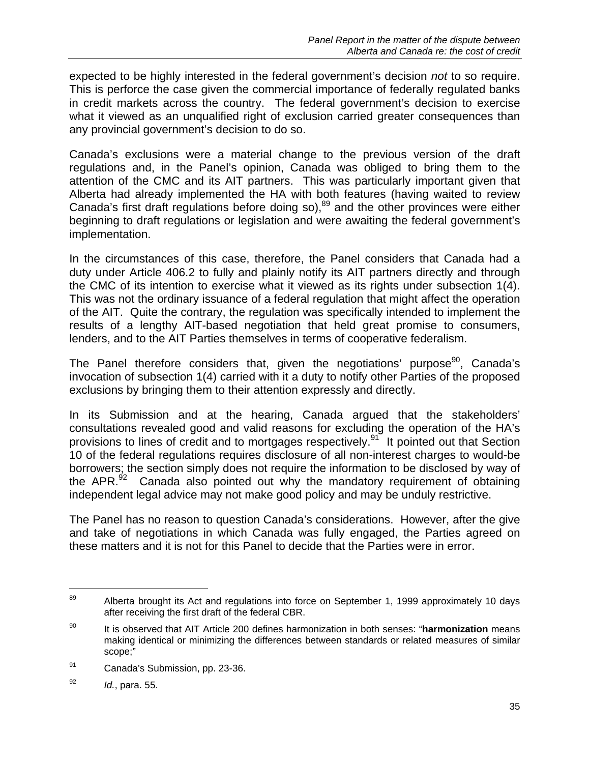expected to be highly interested in the federal government's decision *not* to so require. This is perforce the case given the commercial importance of federally regulated banks in credit markets across the country. The federal government's decision to exercise what it viewed as an unqualified right of exclusion carried greater consequences than any provincial government's decision to do so.

Canada's exclusions were a material change to the previous version of the draft regulations and, in the Panel's opinion, Canada was obliged to bring them to the attention of the CMC and its AIT partners. This was particularly important given that Alberta had already implemented the HA with both features (having waited to review Canada's first draft regulations before doing so),<sup>89</sup> and the other provinces were either beginning to draft regulations or legislation and were awaiting the federal government's implementation.

In the circumstances of this case, therefore, the Panel considers that Canada had a duty under Article 406.2 to fully and plainly notify its AIT partners directly and through the CMC of its intention to exercise what it viewed as its rights under subsection 1(4). This was not the ordinary issuance of a federal regulation that might affect the operation of the AIT. Quite the contrary, the regulation was specifically intended to implement the results of a lengthy AIT-based negotiation that held great promise to consumers, lenders, and to the AIT Parties themselves in terms of cooperative federalism.

The Panel therefore considers that, given the negotiations' purpose<sup>90</sup>, Canada's invocation of subsection 1(4) carried with it a duty to notify other Parties of the proposed exclusions by bringing them to their attention expressly and directly.

In its Submission and at the hearing, Canada argued that the stakeholders' consultations revealed good and valid reasons for excluding the operation of the HA's provisions to lines of credit and to mortgages respectively.<sup>91</sup> It pointed out that Section 10 of the federal regulations requires disclosure of all non-interest charges to would-be borrowers; the section simply does not require the information to be disclosed by way of the APR. $92$  Canada also pointed out why the mandatory requirement of obtaining independent legal advice may not make good policy and may be unduly restrictive.

The Panel has no reason to question Canada's considerations. However, after the give and take of negotiations in which Canada was fully engaged, the Parties agreed on these matters and it is not for this Panel to decide that the Parties were in error.

<sup>&</sup>lt;sup>89</sup> Alberta brought its Act and regulations into force on September 1, 1999 approximately 10 days after receiving the first draft of the federal CBR.

<sup>90</sup> It is observed that AIT Article 200 defines harmonization in both senses: "**harmonization** means making identical or minimizing the differences between standards or related measures of similar scope;"

<sup>91</sup> Canada's Submission, pp. 23-36.

<sup>92</sup> *Id.*, para. 55.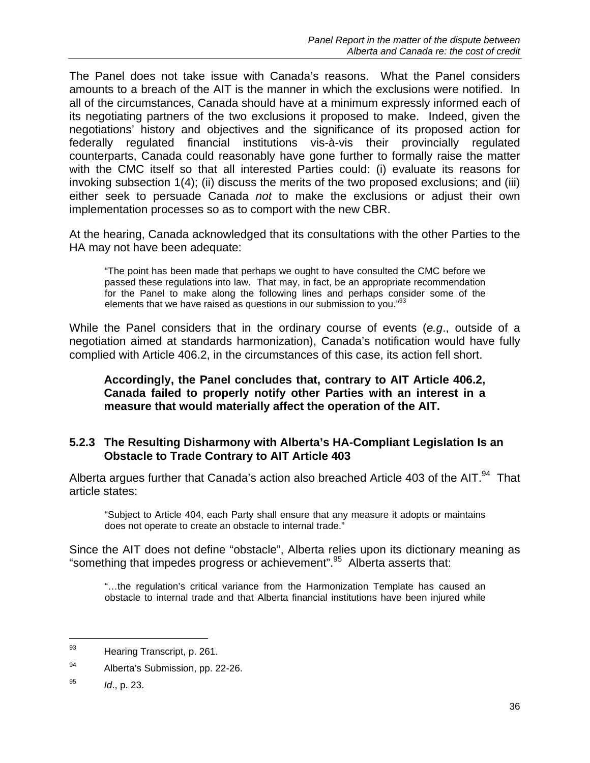The Panel does not take issue with Canada's reasons. What the Panel considers amounts to a breach of the AIT is the manner in which the exclusions were notified. In all of the circumstances, Canada should have at a minimum expressly informed each of its negotiating partners of the two exclusions it proposed to make. Indeed, given the negotiations' history and objectives and the significance of its proposed action for federally regulated financial institutions vis-à-vis their provincially regulated counterparts, Canada could reasonably have gone further to formally raise the matter with the CMC itself so that all interested Parties could: (i) evaluate its reasons for invoking subsection 1(4); (ii) discuss the merits of the two proposed exclusions; and (iii) either seek to persuade Canada *not* to make the exclusions or adjust their own implementation processes so as to comport with the new CBR.

At the hearing, Canada acknowledged that its consultations with the other Parties to the HA may not have been adequate:

"The point has been made that perhaps we ought to have consulted the CMC before we passed these regulations into law. That may, in fact, be an appropriate recommendation for the Panel to make along the following lines and perhaps consider some of the elements that we have raised as questions in our submission to you."<sup>93</sup>

While the Panel considers that in the ordinary course of events (*e.g*., outside of a negotiation aimed at standards harmonization), Canada's notification would have fully complied with Article 406.2, in the circumstances of this case, its action fell short.

#### **Accordingly, the Panel concludes that, contrary to AIT Article 406.2, Canada failed to properly notify other Parties with an interest in a measure that would materially affect the operation of the AIT.**

#### **5.2.3 The Resulting Disharmony with Alberta's HA-Compliant Legislation Is an Obstacle to Trade Contrary to AIT Article 403**

Alberta argues further that Canada's action also breached Article 403 of the AIT.<sup>94</sup> That article states:

"Subject to Article 404, each Party shall ensure that any measure it adopts or maintains does not operate to create an obstacle to internal trade."

Since the AIT does not define "obstacle", Alberta relies upon its dictionary meaning as "something that impedes progress or achievement".95 Alberta asserts that:

"…the regulation's critical variance from the Harmonization Template has caused an obstacle to internal trade and that Alberta financial institutions have been injured while

-

<sup>93</sup> Hearing Transcript, p. 261.

<sup>94</sup> Alberta's Submission, pp. 22-26.

<sup>95</sup> *Id*., p. 23.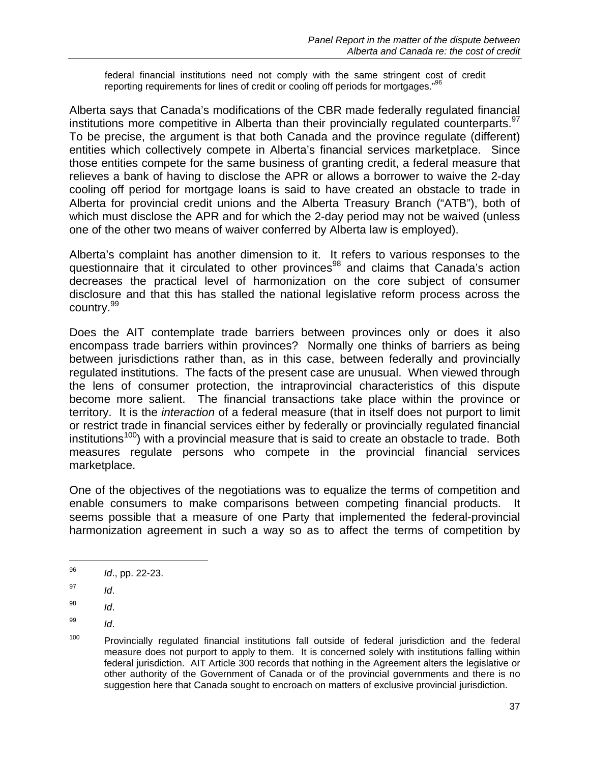federal financial institutions need not comply with the same stringent cost of credit reporting requirements for lines of credit or cooling off periods for mortgages."

Alberta says that Canada's modifications of the CBR made federally regulated financial institutions more competitive in Alberta than their provincially regulated counterparts.<sup>97</sup> To be precise, the argument is that both Canada and the province regulate (different) entities which collectively compete in Alberta's financial services marketplace. Since those entities compete for the same business of granting credit, a federal measure that relieves a bank of having to disclose the APR or allows a borrower to waive the 2-day cooling off period for mortgage loans is said to have created an obstacle to trade in Alberta for provincial credit unions and the Alberta Treasury Branch ("ATB"), both of which must disclose the APR and for which the 2-day period may not be waived (unless one of the other two means of waiver conferred by Alberta law is employed).

Alberta's complaint has another dimension to it. It refers to various responses to the questionnaire that it circulated to other provinces<sup>98</sup> and claims that Canada's action decreases the practical level of harmonization on the core subject of consumer disclosure and that this has stalled the national legislative reform process across the country.<sup>99</sup>

Does the AIT contemplate trade barriers between provinces only or does it also encompass trade barriers within provinces? Normally one thinks of barriers as being between jurisdictions rather than, as in this case, between federally and provincially regulated institutions. The facts of the present case are unusual. When viewed through the lens of consumer protection, the intraprovincial characteristics of this dispute become more salient. The financial transactions take place within the province or territory. It is the *interaction* of a federal measure (that in itself does not purport to limit or restrict trade in financial services either by federally or provincially regulated financial institutions<sup>100</sup>) with a provincial measure that is said to create an obstacle to trade. Both measures regulate persons who compete in the provincial financial services marketplace.

One of the objectives of the negotiations was to equalize the terms of competition and enable consumers to make comparisons between competing financial products. It seems possible that a measure of one Party that implemented the federal-provincial harmonization agreement in such a way so as to affect the terms of competition by

<sup>96</sup> *Id*., pp. 22-23.

<sup>97</sup> *Id*.

<sup>98</sup> *Id*.

<sup>99</sup> *Id*.

<sup>&</sup>lt;sup>100</sup> Provincially regulated financial institutions fall outside of federal jurisdiction and the federal measure does not purport to apply to them. It is concerned solely with institutions falling within federal jurisdiction. AIT Article 300 records that nothing in the Agreement alters the legislative or other authority of the Government of Canada or of the provincial governments and there is no suggestion here that Canada sought to encroach on matters of exclusive provincial jurisdiction.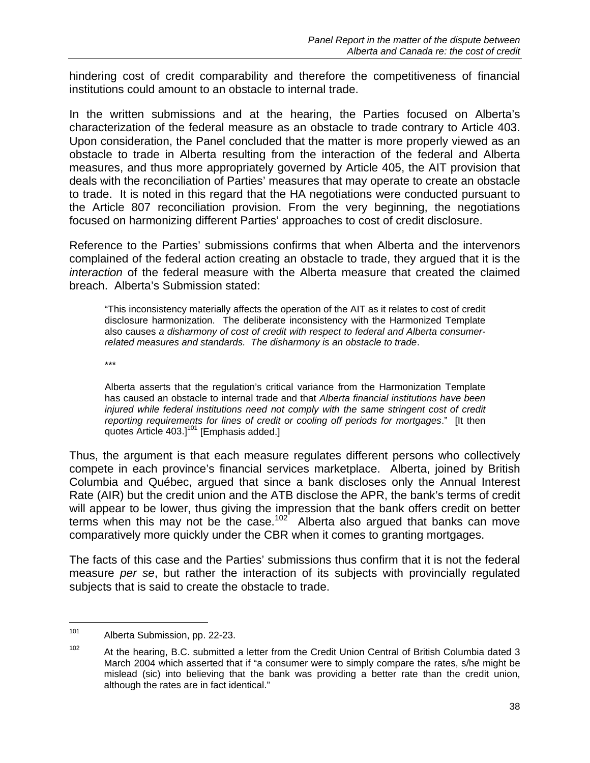hindering cost of credit comparability and therefore the competitiveness of financial institutions could amount to an obstacle to internal trade.

In the written submissions and at the hearing, the Parties focused on Alberta's characterization of the federal measure as an obstacle to trade contrary to Article 403. Upon consideration, the Panel concluded that the matter is more properly viewed as an obstacle to trade in Alberta resulting from the interaction of the federal and Alberta measures, and thus more appropriately governed by Article 405, the AIT provision that deals with the reconciliation of Parties' measures that may operate to create an obstacle to trade. It is noted in this regard that the HA negotiations were conducted pursuant to the Article 807 reconciliation provision. From the very beginning, the negotiations focused on harmonizing different Parties' approaches to cost of credit disclosure.

Reference to the Parties' submissions confirms that when Alberta and the intervenors complained of the federal action creating an obstacle to trade, they argued that it is the *interaction* of the federal measure with the Alberta measure that created the claimed breach. Alberta's Submission stated:

"This inconsistency materially affects the operation of the AIT as it relates to cost of credit disclosure harmonization. The deliberate inconsistency with the Harmonized Template also causes *a disharmony of cost of credit with respect to federal and Alberta consumerrelated measures and standards. The disharmony is an obstacle to trade*.

\*\*\*

Alberta asserts that the regulation's critical variance from the Harmonization Template has caused an obstacle to internal trade and that *Alberta financial institutions have been injured while federal institutions need not comply with the same stringent cost of credit reporting requirements for lines of credit or cooling off periods for mortgages*." [It then quotes Article  $403.$ ]<sup>101</sup> [Emphasis added.]

Thus, the argument is that each measure regulates different persons who collectively compete in each province's financial services marketplace. Alberta, joined by British Columbia and Québec, argued that since a bank discloses only the Annual Interest Rate (AIR) but the credit union and the ATB disclose the APR, the bank's terms of credit will appear to be lower, thus giving the impression that the bank offers credit on better terms when this may not be the case.<sup>102</sup> Alberta also argued that banks can move comparatively more quickly under the CBR when it comes to granting mortgages.

The facts of this case and the Parties' submissions thus confirm that it is not the federal measure *per se*, but rather the interaction of its subjects with provincially regulated subjects that is said to create the obstacle to trade.

<sup>101</sup> Alberta Submission, pp. 22-23.

 $102$  At the hearing, B.C. submitted a letter from the Credit Union Central of British Columbia dated 3 March 2004 which asserted that if "a consumer were to simply compare the rates, s/he might be mislead (sic) into believing that the bank was providing a better rate than the credit union, although the rates are in fact identical."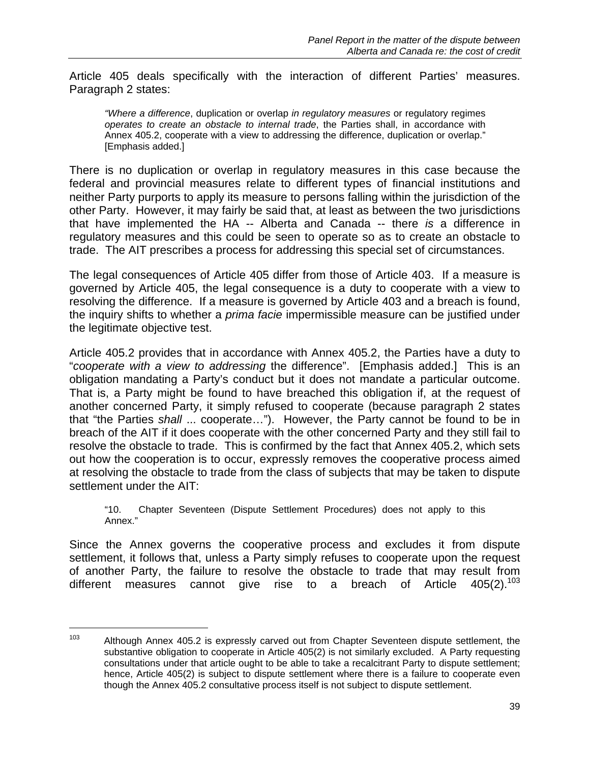Article 405 deals specifically with the interaction of different Parties' measures. Paragraph 2 states:

*"Where a difference*, duplication or overlap *in regulatory measures* or regulatory regimes *operates to create an obstacle to internal trade*, the Parties shall, in accordance with Annex 405.2, cooperate with a view to addressing the difference, duplication or overlap." [Emphasis added.]

There is no duplication or overlap in regulatory measures in this case because the federal and provincial measures relate to different types of financial institutions and neither Party purports to apply its measure to persons falling within the jurisdiction of the other Party. However, it may fairly be said that, at least as between the two jurisdictions that have implemented the HA -- Alberta and Canada -- there *is* a difference in regulatory measures and this could be seen to operate so as to create an obstacle to trade. The AIT prescribes a process for addressing this special set of circumstances.

The legal consequences of Article 405 differ from those of Article 403. If a measure is governed by Article 405, the legal consequence is a duty to cooperate with a view to resolving the difference. If a measure is governed by Article 403 and a breach is found, the inquiry shifts to whether a *prima facie* impermissible measure can be justified under the legitimate objective test.

Article 405.2 provides that in accordance with Annex 405.2, the Parties have a duty to "*cooperate with a view to addressing* the difference". [Emphasis added.] This is an obligation mandating a Party's conduct but it does not mandate a particular outcome. That is, a Party might be found to have breached this obligation if, at the request of another concerned Party, it simply refused to cooperate (because paragraph 2 states that "the Parties *shall* ... cooperate…"). However, the Party cannot be found to be in breach of the AIT if it does cooperate with the other concerned Party and they still fail to resolve the obstacle to trade. This is confirmed by the fact that Annex 405.2, which sets out how the cooperation is to occur, expressly removes the cooperative process aimed at resolving the obstacle to trade from the class of subjects that may be taken to dispute settlement under the AIT:

"10. Chapter Seventeen (Dispute Settlement Procedures) does not apply to this Annex."

Since the Annex governs the cooperative process and excludes it from dispute settlement, it follows that, unless a Party simply refuses to cooperate upon the request of another Party, the failure to resolve the obstacle to trade that may result from different measures cannot give rise to a breach of Article  $405(2).^{103}$ 

 $103$  Although Annex 405.2 is expressly carved out from Chapter Seventeen dispute settlement, the substantive obligation to cooperate in Article 405(2) is not similarly excluded. A Party requesting consultations under that article ought to be able to take a recalcitrant Party to dispute settlement; hence, Article 405(2) is subject to dispute settlement where there is a failure to cooperate even though the Annex 405.2 consultative process itself is not subject to dispute settlement.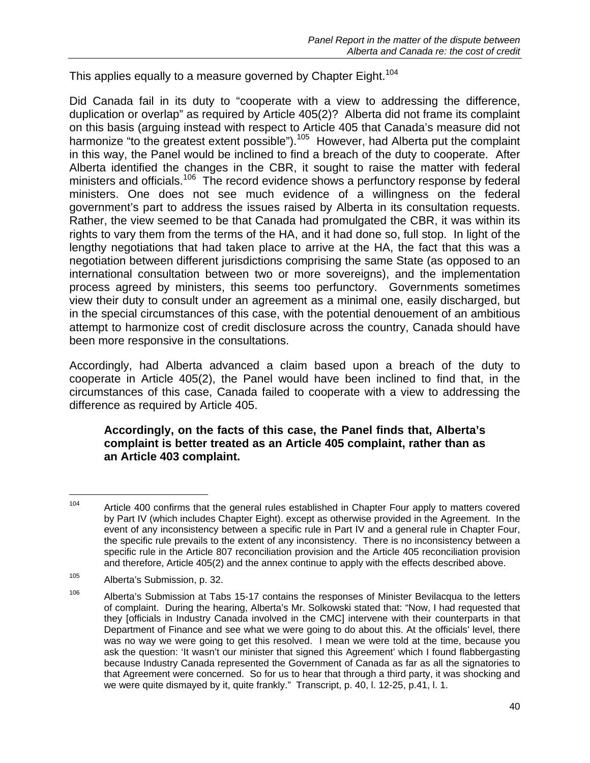This applies equally to a measure governed by Chapter Eight.<sup>104</sup>

Did Canada fail in its duty to "cooperate with a view to addressing the difference, duplication or overlap" as required by Article 405(2)? Alberta did not frame its complaint on this basis (arguing instead with respect to Article 405 that Canada's measure did not harmonize "to the greatest extent possible").<sup>105</sup> However, had Alberta put the complaint in this way, the Panel would be inclined to find a breach of the duty to cooperate. After Alberta identified the changes in the CBR, it sought to raise the matter with federal ministers and officials.<sup>106</sup> The record evidence shows a perfunctory response by federal ministers. One does not see much evidence of a willingness on the federal government's part to address the issues raised by Alberta in its consultation requests. Rather, the view seemed to be that Canada had promulgated the CBR, it was within its rights to vary them from the terms of the HA, and it had done so, full stop. In light of the lengthy negotiations that had taken place to arrive at the HA, the fact that this was a negotiation between different jurisdictions comprising the same State (as opposed to an international consultation between two or more sovereigns), and the implementation process agreed by ministers, this seems too perfunctory. Governments sometimes view their duty to consult under an agreement as a minimal one, easily discharged, but in the special circumstances of this case, with the potential denouement of an ambitious attempt to harmonize cost of credit disclosure across the country, Canada should have been more responsive in the consultations.

Accordingly, had Alberta advanced a claim based upon a breach of the duty to cooperate in Article 405(2), the Panel would have been inclined to find that, in the circumstances of this case, Canada failed to cooperate with a view to addressing the difference as required by Article 405.

#### **Accordingly, on the facts of this case, the Panel finds that, Alberta's complaint is better treated as an Article 405 complaint, rather than as an Article 403 complaint.**

<sup>&</sup>lt;sup>104</sup> Article 400 confirms that the general rules established in Chapter Four apply to matters covered by Part IV (which includes Chapter Eight). except as otherwise provided in the Agreement. In the event of any inconsistency between a specific rule in Part IV and a general rule in Chapter Four, the specific rule prevails to the extent of any inconsistency. There is no inconsistency between a specific rule in the Article 807 reconciliation provision and the Article 405 reconciliation provision and therefore, Article 405(2) and the annex continue to apply with the effects described above.

<sup>105</sup> Alberta's Submission, p. 32.

 $106$  Alberta's Submission at Tabs 15-17 contains the responses of Minister Bevilacqua to the letters of complaint. During the hearing, Alberta's Mr. Solkowski stated that: "Now, I had requested that they [officials in Industry Canada involved in the CMC] intervene with their counterparts in that Department of Finance and see what we were going to do about this. At the officials' level, there was no way we were going to get this resolved. I mean we were told at the time, because you ask the question: 'It wasn't our minister that signed this Agreement' which I found flabbergasting because Industry Canada represented the Government of Canada as far as all the signatories to that Agreement were concerned. So for us to hear that through a third party, it was shocking and we were quite dismayed by it, quite frankly." Transcript, p. 40, l. 12-25, p.41, l. 1.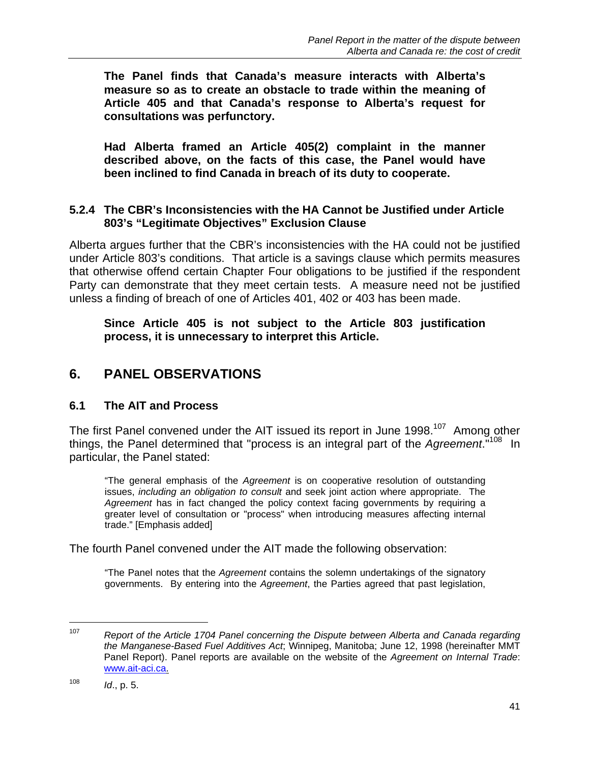**The Panel finds that Canada's measure interacts with Alberta's measure so as to create an obstacle to trade within the meaning of Article 405 and that Canada's response to Alberta's request for consultations was perfunctory.** 

**Had Alberta framed an Article 405(2) complaint in the manner described above, on the facts of this case, the Panel would have been inclined to find Canada in breach of its duty to cooperate.** 

#### **5.2.4 The CBR's Inconsistencies with the HA Cannot be Justified under Article 803's "Legitimate Objectives" Exclusion Clause**

Alberta argues further that the CBR's inconsistencies with the HA could not be justified under Article 803's conditions. That article is a savings clause which permits measures that otherwise offend certain Chapter Four obligations to be justified if the respondent Party can demonstrate that they meet certain tests. A measure need not be justified unless a finding of breach of one of Articles 401, 402 or 403 has been made.

**Since Article 405 is not subject to the Article 803 justification process, it is unnecessary to interpret this Article.** 

### **6. PANEL OBSERVATIONS**

#### **6.1 The AIT and Process**

The first Panel convened under the AIT issued its report in June 1998.<sup>107</sup> Among other things, the Panel determined that "process is an integral part of the *Agreement*."108 In particular, the Panel stated:

"The general emphasis of the *Agreement* is on cooperative resolution of outstanding issues, *including an obligation to consult* and seek joint action where appropriate. The *Agreement* has in fact changed the policy context facing governments by requiring a greater level of consultation or "process" when introducing measures affecting internal trade." [Emphasis added]

The fourth Panel convened under the AIT made the following observation:

"The Panel notes that the *Agreement* contains the solemn undertakings of the signatory governments. By entering into the *Agreement*, the Parties agreed that past legislation,

1

<sup>107</sup> *Report of the Article 1704 Panel concerning the Dispute between Alberta and Canada regarding the Manganese-Based Fuel Additives Act*; Winnipeg, Manitoba; June 12, 1998 (hereinafter MMT Panel Report). Panel reports are available on the website of the *Agreement on Internal Trade*: www.ait-aci.ca.

<sup>108</sup> *Id*., p. 5.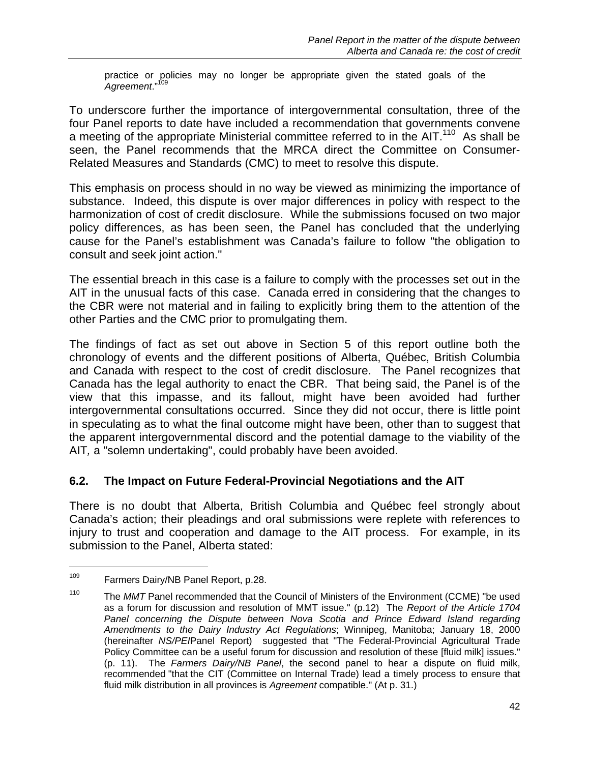practice or policies may no longer be appropriate given the stated goals of the *Agreement*."109

To underscore further the importance of intergovernmental consultation, three of the four Panel reports to date have included a recommendation that governments convene a meeting of the appropriate Ministerial committee referred to in the AIT.<sup>110</sup> As shall be seen, the Panel recommends that the MRCA direct the Committee on Consumer-Related Measures and Standards (CMC) to meet to resolve this dispute.

This emphasis on process should in no way be viewed as minimizing the importance of substance. Indeed, this dispute is over major differences in policy with respect to the harmonization of cost of credit disclosure. While the submissions focused on two major policy differences, as has been seen, the Panel has concluded that the underlying cause for the Panel's establishment was Canada's failure to follow "the obligation to consult and seek joint action."

The essential breach in this case is a failure to comply with the processes set out in the AIT in the unusual facts of this case. Canada erred in considering that the changes to the CBR were not material and in failing to explicitly bring them to the attention of the other Parties and the CMC prior to promulgating them.

The findings of fact as set out above in Section 5 of this report outline both the chronology of events and the different positions of Alberta, Québec, British Columbia and Canada with respect to the cost of credit disclosure. The Panel recognizes that Canada has the legal authority to enact the CBR. That being said, the Panel is of the view that this impasse, and its fallout, might have been avoided had further intergovernmental consultations occurred. Since they did not occur, there is little point in speculating as to what the final outcome might have been, other than to suggest that the apparent intergovernmental discord and the potential damage to the viability of the AIT*,* a "solemn undertaking", could probably have been avoided.

#### **6.2. The Impact on Future Federal-Provincial Negotiations and the AIT**

There is no doubt that Alberta, British Columbia and Québec feel strongly about Canada's action; their pleadings and oral submissions were replete with references to injury to trust and cooperation and damage to the AIT process. For example, in its submission to the Panel, Alberta stated:

<sup>109</sup> Farmers Dairy/NB Panel Report, p.28.

<sup>110</sup> The *MMT* Panel recommended that the Council of Ministers of the Environment (CCME) "be used as a forum for discussion and resolution of MMT issue." (p.12) The *Report of the Article 1704*  Panel concerning the Dispute between Nova Scotia and Prince Edward Island regarding *Amendments to the Dairy Industry Act Regulations*; Winnipeg, Manitoba; January 18, 2000 (hereinafter *NS/PEI*Panel Report) suggested that "The Federal-Provincial Agricultural Trade Policy Committee can be a useful forum for discussion and resolution of these [fluid milk] issues." (p. 11). The *Farmers Dairy/NB Panel*, the second panel to hear a dispute on fluid milk, recommended "that the CIT (Committee on Internal Trade) lead a timely process to ensure that fluid milk distribution in all provinces is *Agreement* compatible." (At p. 31.)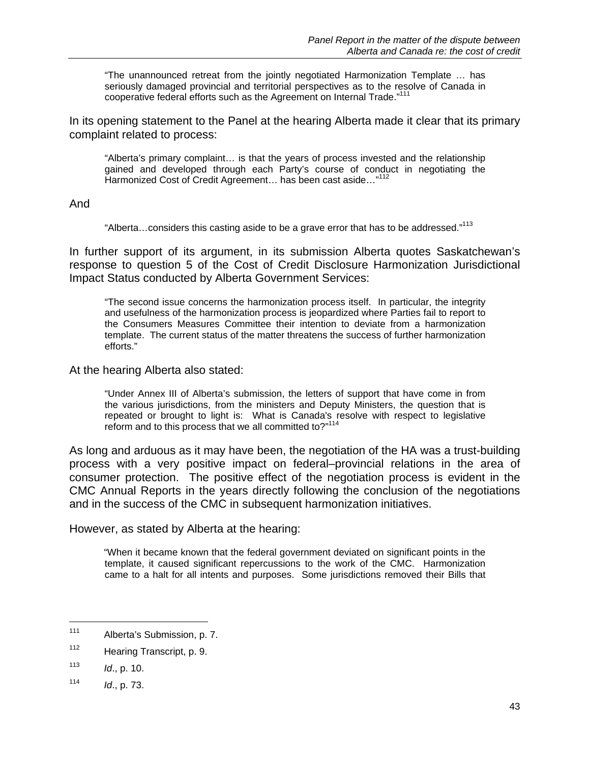"The unannounced retreat from the jointly negotiated Harmonization Template … has seriously damaged provincial and territorial perspectives as to the resolve of Canada in cooperative federal efforts such as the Agreement on Internal Trade."<sup>111</sup>

In its opening statement to the Panel at the hearing Alberta made it clear that its primary complaint related to process:

"Alberta's primary complaint… is that the years of process invested and the relationship gained and developed through each Party's course of conduct in negotiating the Harmonized Cost of Credit Agreement... has been cast aside..."<sup>11</sup>

And

"Alberta...considers this casting aside to be a grave error that has to be addressed."<sup>113</sup>

In further support of its argument, in its submission Alberta quotes Saskatchewan's response to question 5 of the Cost of Credit Disclosure Harmonization Jurisdictional Impact Status conducted by Alberta Government Services:

"The second issue concerns the harmonization process itself. In particular, the integrity and usefulness of the harmonization process is jeopardized where Parties fail to report to the Consumers Measures Committee their intention to deviate from a harmonization template. The current status of the matter threatens the success of further harmonization efforts."

At the hearing Alberta also stated:

"Under Annex III of Alberta's submission, the letters of support that have come in from the various jurisdictions, from the ministers and Deputy Ministers, the question that is repeated or brought to light is: What is Canada's resolve with respect to legislative reform and to this process that we all committed to?"<sup>114</sup>

As long and arduous as it may have been, the negotiation of the HA was a trust-building process with a very positive impact on federal–provincial relations in the area of consumer protection. The positive effect of the negotiation process is evident in the CMC Annual Reports in the years directly following the conclusion of the negotiations and in the success of the CMC in subsequent harmonization initiatives.

However, as stated by Alberta at the hearing:

"When it became known that the federal government deviated on significant points in the template, it caused significant repercussions to the work of the CMC. Harmonization came to a halt for all intents and purposes. Some jurisdictions removed their Bills that

1

<sup>111</sup> Alberta's Submission, p. 7.

<sup>112</sup> Hearing Transcript, p. 9.

<sup>113</sup> *Id*., p. 10.

<sup>114</sup> *Id*., p. 73.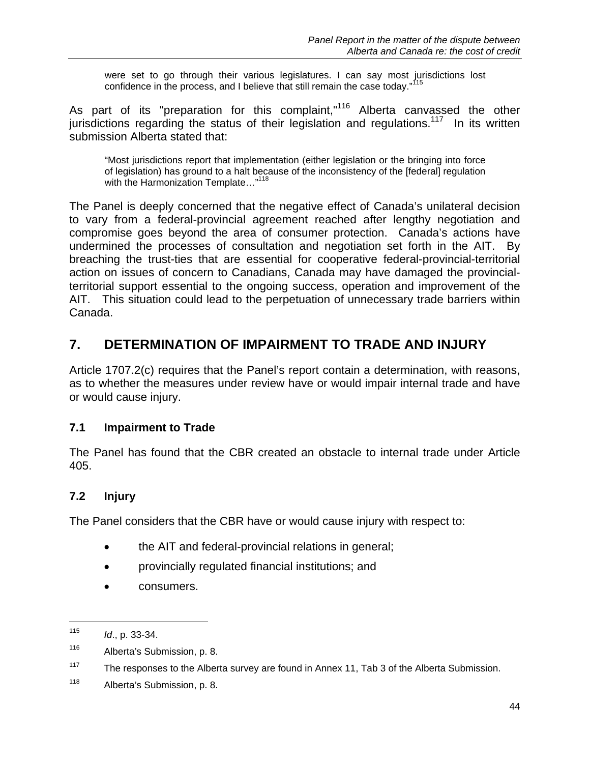were set to go through their various legislatures. I can say most jurisdictions lost confidence in the process, and I believe that still remain the case today."<sup>115</sup>

As part of its "preparation for this complaint,"<sup>116</sup> Alberta canvassed the other jurisdictions regarding the status of their legislation and regulations.<sup>117</sup> In its written submission Alberta stated that:

"Most jurisdictions report that implementation (either legislation or the bringing into force of legislation) has ground to a halt because of the inconsistency of the [federal] regulation with the Harmonization Template..."<sup>118</sup>

The Panel is deeply concerned that the negative effect of Canada's unilateral decision to vary from a federal-provincial agreement reached after lengthy negotiation and compromise goes beyond the area of consumer protection. Canada's actions have undermined the processes of consultation and negotiation set forth in the AIT. By breaching the trust-ties that are essential for cooperative federal-provincial-territorial action on issues of concern to Canadians, Canada may have damaged the provincialterritorial support essential to the ongoing success, operation and improvement of the AIT. This situation could lead to the perpetuation of unnecessary trade barriers within Canada.

## **7. DETERMINATION OF IMPAIRMENT TO TRADE AND INJURY**

Article 1707.2(c) requires that the Panel's report contain a determination, with reasons, as to whether the measures under review have or would impair internal trade and have or would cause injury.

#### **7.1 Impairment to Trade**

The Panel has found that the CBR created an obstacle to internal trade under Article 405.

#### **7.2 Injury**

The Panel considers that the CBR have or would cause injury with respect to:

- the AIT and federal-provincial relations in general;
- provincially regulated financial institutions; and
- consumers.

<sup>115</sup> *Id*., p. 33-34.

<sup>116</sup> Alberta's Submission, p. 8.

 $117$  The responses to the Alberta survey are found in Annex 11, Tab 3 of the Alberta Submission.

<sup>118</sup> Alberta's Submission, p. 8.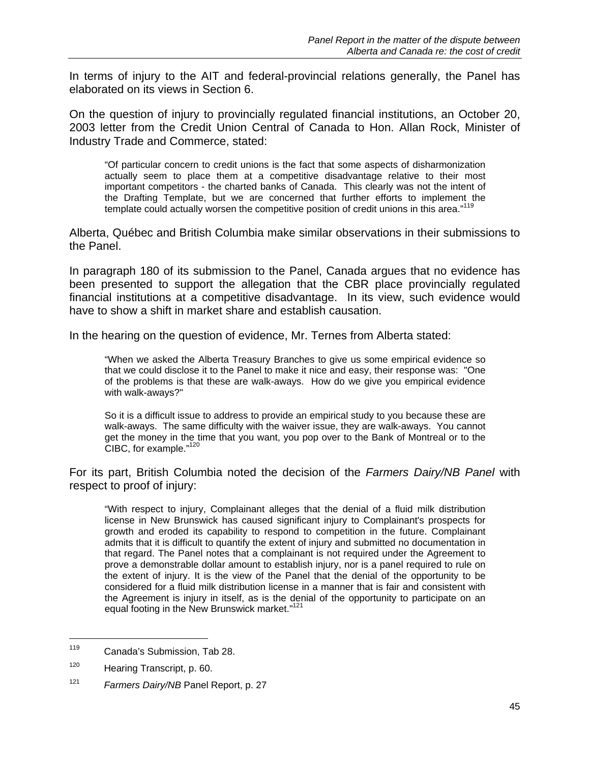In terms of injury to the AIT and federal-provincial relations generally, the Panel has elaborated on its views in Section 6.

On the question of injury to provincially regulated financial institutions, an October 20, 2003 letter from the Credit Union Central of Canada to Hon. Allan Rock, Minister of Industry Trade and Commerce, stated:

"Of particular concern to credit unions is the fact that some aspects of disharmonization actually seem to place them at a competitive disadvantage relative to their most important competitors - the charted banks of Canada. This clearly was not the intent of the Drafting Template, but we are concerned that further efforts to implement the template could actually worsen the competitive position of credit unions in this area."<sup>119</sup>

Alberta, Québec and British Columbia make similar observations in their submissions to the Panel.

In paragraph 180 of its submission to the Panel, Canada argues that no evidence has been presented to support the allegation that the CBR place provincially regulated financial institutions at a competitive disadvantage. In its view, such evidence would have to show a shift in market share and establish causation.

In the hearing on the question of evidence, Mr. Ternes from Alberta stated:

"When we asked the Alberta Treasury Branches to give us some empirical evidence so that we could disclose it to the Panel to make it nice and easy, their response was: "One of the problems is that these are walk-aways. How do we give you empirical evidence with walk-aways?"

So it is a difficult issue to address to provide an empirical study to you because these are walk-aways. The same difficulty with the waiver issue, they are walk-aways. You cannot get the money in the time that you want, you pop over to the Bank of Montreal or to the CIBC, for example."120

For its part, British Columbia noted the decision of the *Farmers Dairy/NB Panel* with respect to proof of injury:

"With respect to injury, Complainant alleges that the denial of a fluid milk distribution license in New Brunswick has caused significant injury to Complainant's prospects for growth and eroded its capability to respond to competition in the future. Complainant admits that it is difficult to quantify the extent of injury and submitted no documentation in that regard. The Panel notes that a complainant is not required under the Agreement to prove a demonstrable dollar amount to establish injury, nor is a panel required to rule on the extent of injury. It is the view of the Panel that the denial of the opportunity to be considered for a fluid milk distribution license in a manner that is fair and consistent with the Agreement is injury in itself, as is the denial of the opportunity to participate on an equal footing in the New Brunswick market."<sup>121</sup>

<sup>119</sup> Canada's Submission, Tab 28.

<sup>120</sup> Hearing Transcript, p. 60.

<sup>121</sup> *Farmers Dairy/NB* Panel Report, p. 27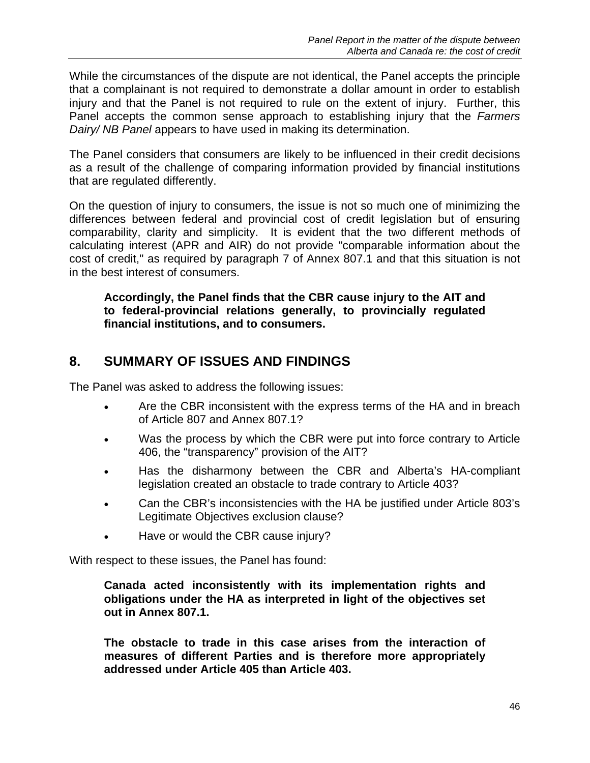While the circumstances of the dispute are not identical, the Panel accepts the principle that a complainant is not required to demonstrate a dollar amount in order to establish injury and that the Panel is not required to rule on the extent of injury. Further, this Panel accepts the common sense approach to establishing injury that the *Farmers Dairy/ NB Panel* appears to have used in making its determination.

The Panel considers that consumers are likely to be influenced in their credit decisions as a result of the challenge of comparing information provided by financial institutions that are regulated differently.

On the question of injury to consumers, the issue is not so much one of minimizing the differences between federal and provincial cost of credit legislation but of ensuring comparability, clarity and simplicity. It is evident that the two different methods of calculating interest (APR and AIR) do not provide "comparable information about the cost of credit," as required by paragraph 7 of Annex 807.1 and that this situation is not in the best interest of consumers.

**Accordingly, the Panel finds that the CBR cause injury to the AIT and to federal-provincial relations generally, to provincially regulated financial institutions, and to consumers.** 

## **8. SUMMARY OF ISSUES AND FINDINGS**

The Panel was asked to address the following issues:

- Are the CBR inconsistent with the express terms of the HA and in breach of Article 807 and Annex 807.1?
- Was the process by which the CBR were put into force contrary to Article 406, the "transparency" provision of the AIT?
- Has the disharmony between the CBR and Alberta's HA-compliant legislation created an obstacle to trade contrary to Article 403?
- Can the CBR's inconsistencies with the HA be justified under Article 803's Legitimate Objectives exclusion clause?
- Have or would the CBR cause injury?

With respect to these issues, the Panel has found:

**Canada acted inconsistently with its implementation rights and obligations under the HA as interpreted in light of the objectives set out in Annex 807.1.** 

**The obstacle to trade in this case arises from the interaction of measures of different Parties and is therefore more appropriately addressed under Article 405 than Article 403.**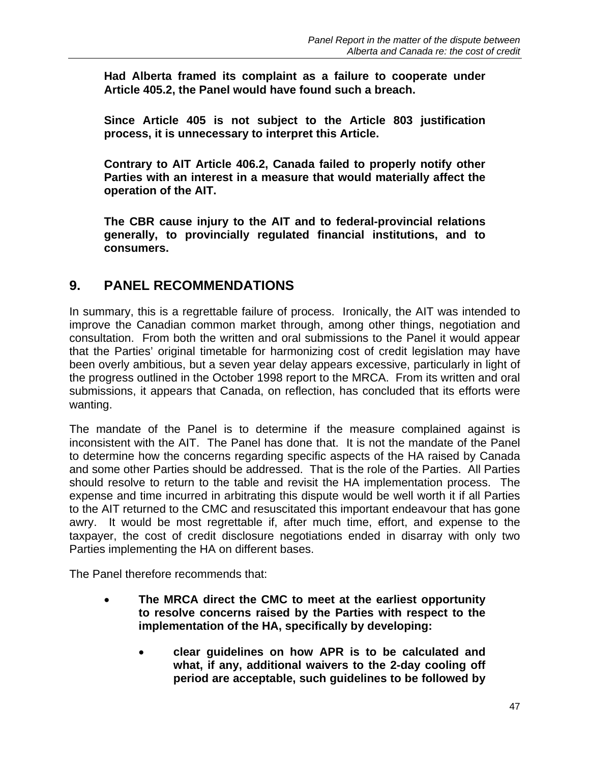**Had Alberta framed its complaint as a failure to cooperate under Article 405.2, the Panel would have found such a breach.** 

**Since Article 405 is not subject to the Article 803 justification process, it is unnecessary to interpret this Article.** 

**Contrary to AIT Article 406.2, Canada failed to properly notify other Parties with an interest in a measure that would materially affect the operation of the AIT.** 

**The CBR cause injury to the AIT and to federal-provincial relations generally, to provincially regulated financial institutions, and to consumers.** 

### **9. PANEL RECOMMENDATIONS**

In summary, this is a regrettable failure of process. Ironically, the AIT was intended to improve the Canadian common market through, among other things, negotiation and consultation. From both the written and oral submissions to the Panel it would appear that the Parties' original timetable for harmonizing cost of credit legislation may have been overly ambitious, but a seven year delay appears excessive, particularly in light of the progress outlined in the October 1998 report to the MRCA. From its written and oral submissions, it appears that Canada, on reflection, has concluded that its efforts were wanting.

The mandate of the Panel is to determine if the measure complained against is inconsistent with the AIT. The Panel has done that. It is not the mandate of the Panel to determine how the concerns regarding specific aspects of the HA raised by Canada and some other Parties should be addressed. That is the role of the Parties. All Parties should resolve to return to the table and revisit the HA implementation process. The expense and time incurred in arbitrating this dispute would be well worth it if all Parties to the AIT returned to the CMC and resuscitated this important endeavour that has gone awry. It would be most regrettable if, after much time, effort, and expense to the taxpayer, the cost of credit disclosure negotiations ended in disarray with only two Parties implementing the HA on different bases.

The Panel therefore recommends that:

- **The MRCA direct the CMC to meet at the earliest opportunity to resolve concerns raised by the Parties with respect to the implementation of the HA, specifically by developing:** 
	- **clear guidelines on how APR is to be calculated and what, if any, additional waivers to the 2-day cooling off period are acceptable, such guidelines to be followed by**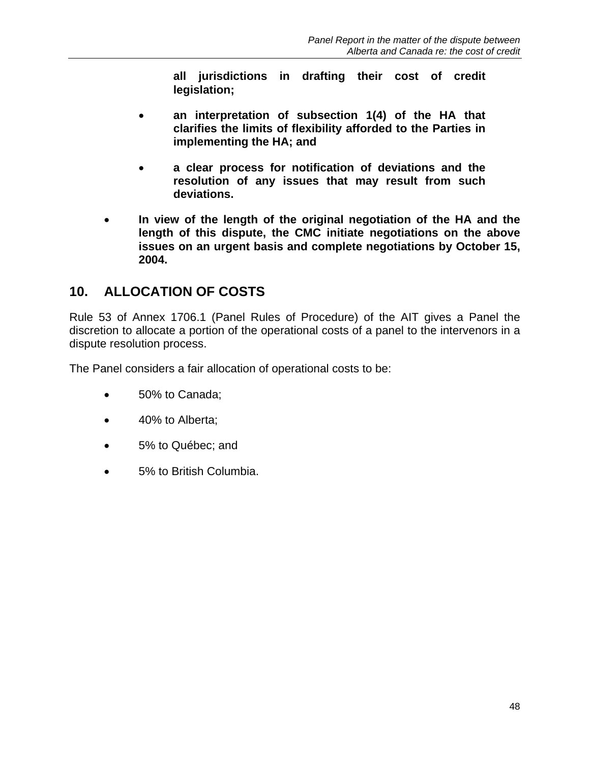**all jurisdictions in drafting their cost of credit legislation;** 

- **an interpretation of subsection 1(4) of the HA that clarifies the limits of flexibility afforded to the Parties in implementing the HA; and**
- **a clear process for notification of deviations and the resolution of any issues that may result from such deviations.**
- **In view of the length of the original negotiation of the HA and the length of this dispute, the CMC initiate negotiations on the above issues on an urgent basis and complete negotiations by October 15, 2004.**

## **10. ALLOCATION OF COSTS**

Rule 53 of Annex 1706.1 (Panel Rules of Procedure) of the AIT gives a Panel the discretion to allocate a portion of the operational costs of a panel to the intervenors in a dispute resolution process.

The Panel considers a fair allocation of operational costs to be:

- 50% to Canada;
- 40% to Alberta;
- 5% to Québec; and
- 5% to British Columbia.